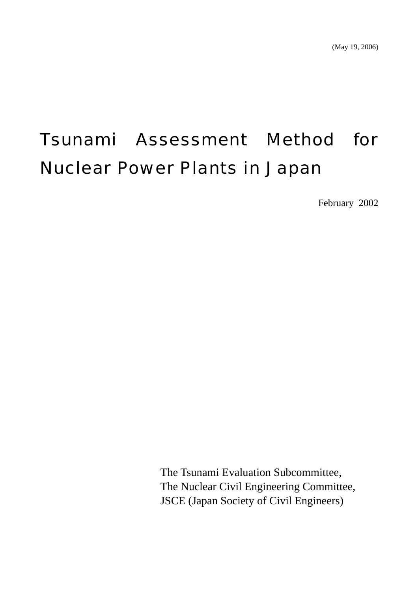# Tsunami Assessment Method for Nuclear Power Plants in Japan

February 2002

The Tsunami Evaluation Subcommittee, The Nuclear Civil Engineering Committee, JSCE (Japan Society of Civil Engineers)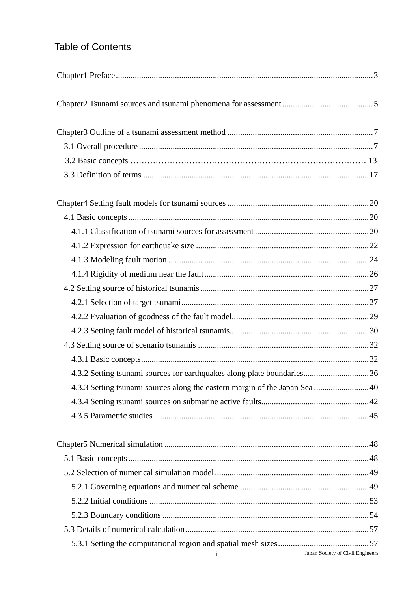# Table of Contents

| 4.3.2 Setting tsunami sources for earthquakes along plate boundaries36      |                                  |
|-----------------------------------------------------------------------------|----------------------------------|
| 4.3.3 Setting tsunami sources along the eastern margin of the Japan Sea  40 |                                  |
|                                                                             |                                  |
|                                                                             |                                  |
|                                                                             |                                  |
|                                                                             |                                  |
|                                                                             |                                  |
|                                                                             |                                  |
|                                                                             |                                  |
|                                                                             |                                  |
|                                                                             |                                  |
|                                                                             |                                  |
| $\mathbf{i}$                                                                | Japan Society of Civil Engineers |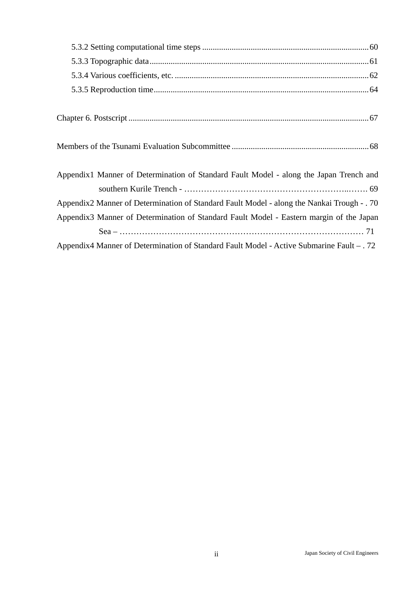| Appendix1 Manner of Determination of Standard Fault Model - along the Japan Trench and     |
|--------------------------------------------------------------------------------------------|
|                                                                                            |
| Appendix2 Manner of Determination of Standard Fault Model - along the Nankai Trough - . 70 |
| Appendix3 Manner of Determination of Standard Fault Model - Eastern margin of the Japan    |
|                                                                                            |
| Appendix4 Manner of Determination of Standard Fault Model - Active Submarine Fault - . 72  |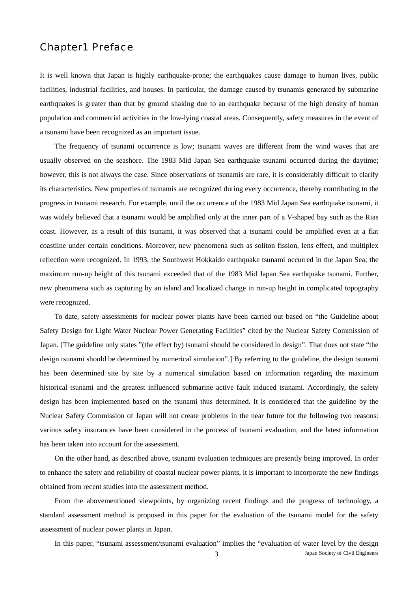## Chapter1 Preface

It is well known that Japan is highly earthquake-prone; the earthquakes cause damage to human lives, public facilities, industrial facilities, and houses. In particular, the damage caused by tsunamis generated by submarine earthquakes is greater than that by ground shaking due to an earthquake because of the high density of human population and commercial activities in the low-lying coastal areas. Consequently, safety measures in the event of a tsunami have been recognized as an important issue.

The frequency of tsunami occurrence is low; tsunami waves are different from the wind waves that are usually observed on the seashore. The 1983 Mid Japan Sea earthquake tsunami occurred during the daytime; however, this is not always the case. Since observations of tsunamis are rare, it is considerably difficult to clarify its characteristics. New properties of tsunamis are recognized during every occurrence, thereby contributing to the progress in tsunami research. For example, until the occurrence of the 1983 Mid Japan Sea earthquake tsunami, it was widely believed that a tsunami would be amplified only at the inner part of a V-shaped bay such as the Rias coast. However, as a result of this tsunami, it was observed that a tsunami could be amplified even at a flat coastline under certain conditions. Moreover, new phenomena such as soliton fission, lens effect, and multiplex reflection were recognized. In 1993, the Southwest Hokkaido earthquake tsunami occurred in the Japan Sea; the maximum run-up height of this tsunami exceeded that of the 1983 Mid Japan Sea earthquake tsunami. Further, new phenomena such as capturing by an island and localized change in run-up height in complicated topography were recognized.

To date, safety assessments for nuclear power plants have been carried out based on "the Guideline about Safety Design for Light Water Nuclear Power Generating Facilities" cited by the Nuclear Safety Commission of Japan. [The guideline only states "(the effect by) tsunami should be considered in design". That does not state "the design tsunami should be determined by numerical simulation".] By referring to the guideline, the design tsunami has been determined site by site by a numerical simulation based on information regarding the maximum historical tsunami and the greatest influenced submarine active fault induced tsunami. Accordingly, the safety design has been implemented based on the tsunami thus determined. It is considered that the guideline by the Nuclear Safety Commission of Japan will not create problems in the near future for the following two reasons: various safety insurances have been considered in the process of tsunami evaluation, and the latest information has been taken into account for the assessment.

On the other hand, as described above, tsunami evaluation techniques are presently being improved. In order to enhance the safety and reliability of coastal nuclear power plants, it is important to incorporate the new findings obtained from recent studies into the assessment method.

From the abovementioned viewpoints, by organizing recent findings and the progress of technology, a standard assessment method is proposed in this paper for the evaluation of the tsunami model for the safety assessment of nuclear power plants in Japan.

In this paper, "tsunami assessment/tsunami evaluation" implies the "evaluation of water level by the design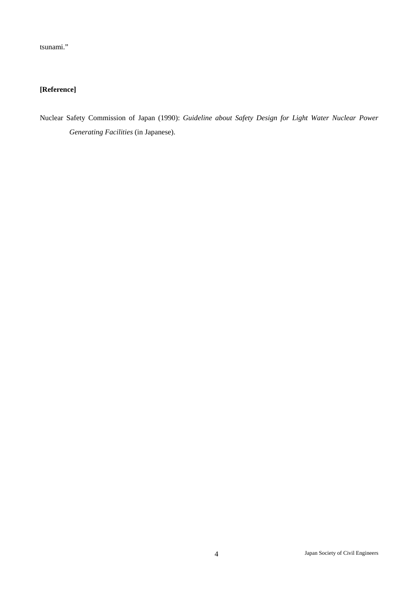tsunami."

## **[Reference]**

Nuclear Safety Commission of Japan (1990): *Guideline about Safety Design for Light Water Nuclear Power Generating Facilities* (in Japanese).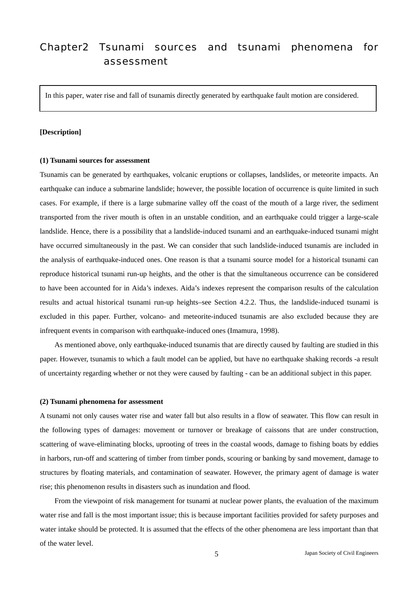# Chapter2 Tsunami sources and tsunami phenomena for assessment

In this paper, water rise and fall of tsunamis directly generated by earthquake fault motion are considered.

#### **[Description]**

#### **(1) Tsunami sources for assessment**

Tsunamis can be generated by earthquakes, volcanic eruptions or collapses, landslides, or meteorite impacts. An earthquake can induce a submarine landslide; however, the possible location of occurrence is quite limited in such cases. For example, if there is a large submarine valley off the coast of the mouth of a large river, the sediment transported from the river mouth is often in an unstable condition, and an earthquake could trigger a large-scale landslide. Hence, there is a possibility that a landslide-induced tsunami and an earthquake-induced tsunami might have occurred simultaneously in the past. We can consider that such landslide-induced tsunamis are included in the analysis of earthquake-induced ones. One reason is that a tsunami source model for a historical tsunami can reproduce historical tsunami run-up heights, and the other is that the simultaneous occurrence can be considered to have been accounted for in Aida's indexes. Aida's indexes represent the comparison results of the calculation results and actual historical tsunami run-up heights–see Section 4.2.2. Thus, the landslide-induced tsunami is excluded in this paper. Further, volcano- and meteorite-induced tsunamis are also excluded because they are infrequent events in comparison with earthquake-induced ones (Imamura, 1998).

As mentioned above, only earthquake-induced tsunamis that are directly caused by faulting are studied in this paper. However, tsunamis to which a fault model can be applied, but have no earthquake shaking records -a result of uncertainty regarding whether or not they were caused by faulting - can be an additional subject in this paper.

#### **(2) Tsunami phenomena for assessment**

A tsunami not only causes water rise and water fall but also results in a flow of seawater. This flow can result in the following types of damages: movement or turnover or breakage of caissons that are under construction, scattering of wave-eliminating blocks, uprooting of trees in the coastal woods, damage to fishing boats by eddies in harbors, run-off and scattering of timber from timber ponds, scouring or banking by sand movement, damage to structures by floating materials, and contamination of seawater. However, the primary agent of damage is water rise; this phenomenon results in disasters such as inundation and flood.

From the viewpoint of risk management for tsunami at nuclear power plants, the evaluation of the maximum water rise and fall is the most important issue; this is because important facilities provided for safety purposes and water intake should be protected. It is assumed that the effects of the other phenomena are less important than that of the water level.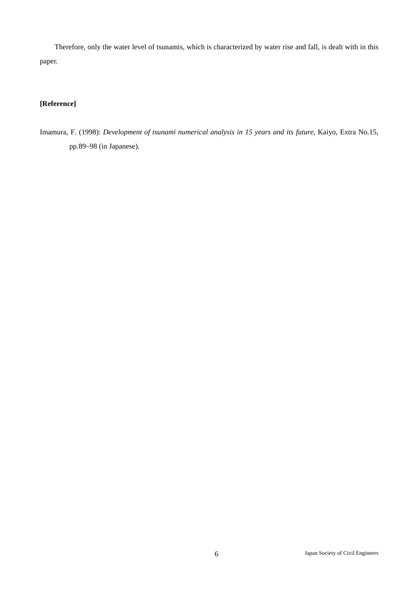Therefore, only the water level of tsunamis, which is characterized by water rise and fall, is dealt with in this paper.

## **[Reference]**

Imamura, F. (1998): *Development of tsunami numerical analysis in 15 years and its future*, Kaiyo, Extra No.15, pp.89–98 (in Japanese).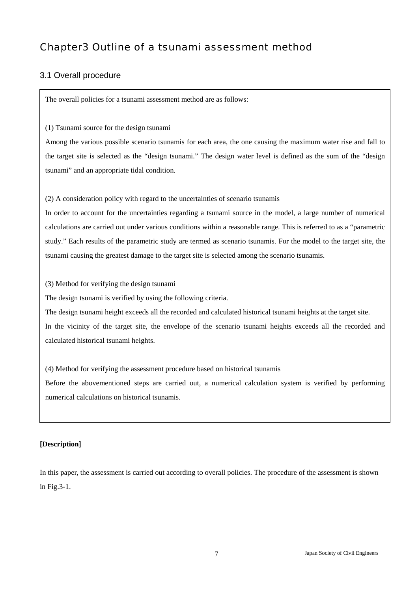# Chapter3 Outline of a tsunami assessment method

## 3.1 Overall procedure

The overall policies for a tsunami assessment method are as follows:

(1) Tsunami source for the design tsunami

Among the various possible scenario tsunamis for each area, the one causing the maximum water rise and fall to the target site is selected as the "design tsunami." The design water level is defined as the sum of the "design tsunami" and an appropriate tidal condition.

(2) A consideration policy with regard to the uncertainties of scenario tsunamis

In order to account for the uncertainties regarding a tsunami source in the model, a large number of numerical calculations are carried out under various conditions within a reasonable range. This is referred to as a "parametric study." Each results of the parametric study are termed as scenario tsunamis. For the model to the target site, the tsunami causing the greatest damage to the target site is selected among the scenario tsunamis.

(3) Method for verifying the design tsunami

The design tsunami is verified by using the following criteria.

The design tsunami height exceeds all the recorded and calculated historical tsunami heights at the target site. In the vicinity of the target site, the envelope of the scenario tsunami heights exceeds all the recorded and

calculated historical tsunami heights.

(4) Method for verifying the assessment procedure based on historical tsunamis

Before the abovementioned steps are carried out, a numerical calculation system is verified by performing numerical calculations on historical tsunamis.

## **[Description]**

In this paper, the assessment is carried out according to overall policies. The procedure of the assessment is shown in Fig.3-1.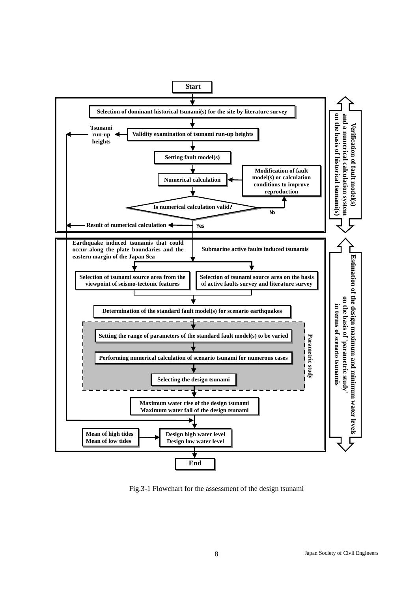

Fig.3-1 Flowchart for the assessment of the design tsunami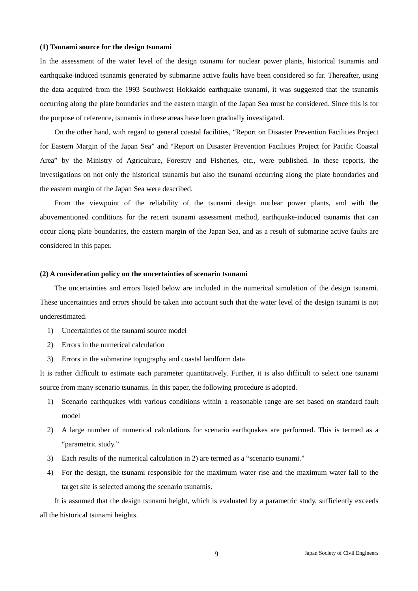#### **(1) Tsunami source for the design tsunami**

In the assessment of the water level of the design tsunami for nuclear power plants, historical tsunamis and earthquake-induced tsunamis generated by submarine active faults have been considered so far. Thereafter, using the data acquired from the 1993 Southwest Hokkaido earthquake tsunami, it was suggested that the tsunamis occurring along the plate boundaries and the eastern margin of the Japan Sea must be considered. Since this is for the purpose of reference, tsunamis in these areas have been gradually investigated.

On the other hand, with regard to general coastal facilities, "Report on Disaster Prevention Facilities Project for Eastern Margin of the Japan Sea" and "Report on Disaster Prevention Facilities Project for Pacific Coastal Area" by the Ministry of Agriculture, Forestry and Fisheries, etc., were published. In these reports, the investigations on not only the historical tsunamis but also the tsunami occurring along the plate boundaries and the eastern margin of the Japan Sea were described.

From the viewpoint of the reliability of the tsunami design nuclear power plants, and with the abovementioned conditions for the recent tsunami assessment method, earthquake-induced tsunamis that can occur along plate boundaries, the eastern margin of the Japan Sea, and as a result of submarine active faults are considered in this paper.

#### **(2) A consideration policy on the uncertainties of scenario tsunami**

The uncertainties and errors listed below are included in the numerical simulation of the design tsunami. These uncertainties and errors should be taken into account such that the water level of the design tsunami is not underestimated.

- 1) Uncertainties of the tsunami source model
- 2) Errors in the numerical calculation
- 3) Errors in the submarine topography and coastal landform data

It is rather difficult to estimate each parameter quantitatively. Further, it is also difficult to select one tsunami source from many scenario tsunamis. In this paper, the following procedure is adopted.

- 1) Scenario earthquakes with various conditions within a reasonable range are set based on standard fault model
- 2) A large number of numerical calculations for scenario earthquakes are performed. This is termed as a "parametric study."
- 3) Each results of the numerical calculation in 2) are termed as a "scenario tsunami."
- 4) For the design, the tsunami responsible for the maximum water rise and the maximum water fall to the target site is selected among the scenario tsunamis.

It is assumed that the design tsunami height, which is evaluated by a parametric study, sufficiently exceeds all the historical tsunami heights.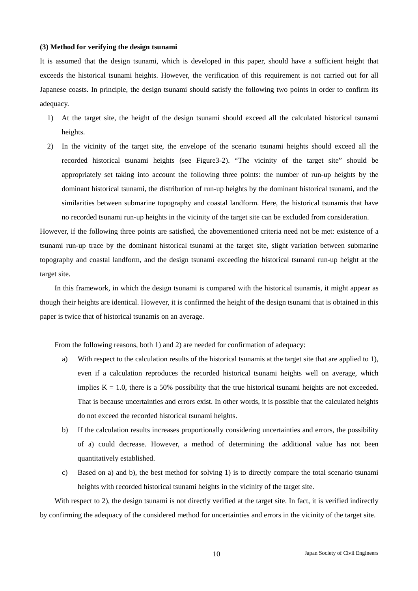#### **(3) Method for verifying the design tsunami**

It is assumed that the design tsunami, which is developed in this paper, should have a sufficient height that exceeds the historical tsunami heights. However, the verification of this requirement is not carried out for all Japanese coasts. In principle, the design tsunami should satisfy the following two points in order to confirm its adequacy.

- 1) At the target site, the height of the design tsunami should exceed all the calculated historical tsunami heights.
- 2) In the vicinity of the target site, the envelope of the scenario tsunami heights should exceed all the recorded historical tsunami heights (see Figure3-2). "The vicinity of the target site" should be appropriately set taking into account the following three points: the number of run-up heights by the dominant historical tsunami, the distribution of run-up heights by the dominant historical tsunami, and the similarities between submarine topography and coastal landform. Here, the historical tsunamis that have no recorded tsunami run-up heights in the vicinity of the target site can be excluded from consideration.

However, if the following three points are satisfied, the abovementioned criteria need not be met: existence of a tsunami run-up trace by the dominant historical tsunami at the target site, slight variation between submarine topography and coastal landform, and the design tsunami exceeding the historical tsunami run-up height at the target site.

In this framework, in which the design tsunami is compared with the historical tsunamis, it might appear as though their heights are identical. However, it is confirmed the height of the design tsunami that is obtained in this paper is twice that of historical tsunamis on an average.

From the following reasons, both 1) and 2) are needed for confirmation of adequacy:

- a) With respect to the calculation results of the historical tsunamis at the target site that are applied to 1), even if a calculation reproduces the recorded historical tsunami heights well on average, which implies  $K = 1.0$ , there is a 50% possibility that the true historical tsunami heights are not exceeded. That is because uncertainties and errors exist. In other words, it is possible that the calculated heights do not exceed the recorded historical tsunami heights.
- b) If the calculation results increases proportionally considering uncertainties and errors, the possibility of a) could decrease. However, a method of determining the additional value has not been quantitatively established.
- c) Based on a) and b), the best method for solving 1) is to directly compare the total scenario tsunami heights with recorded historical tsunami heights in the vicinity of the target site.

With respect to 2), the design tsunami is not directly verified at the target site. In fact, it is verified indirectly by confirming the adequacy of the considered method for uncertainties and errors in the vicinity of the target site.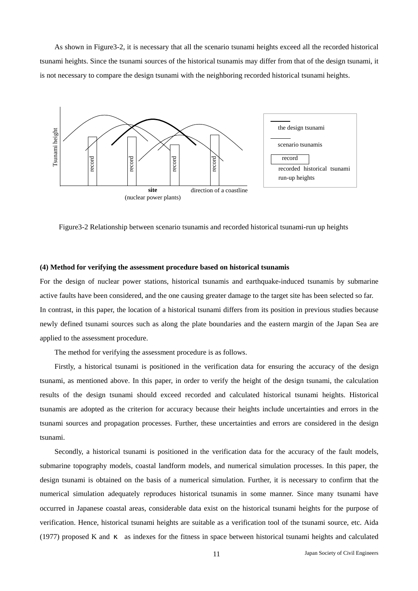As shown in Figure3-2, it is necessary that all the scenario tsunami heights exceed all the recorded historical tsunami heights. Since the tsunami sources of the historical tsunamis may differ from that of the design tsunami, it is not necessary to compare the design tsunami with the neighboring recorded historical tsunami heights.



#### **(4) Method for verifying the assessment procedure based on historical tsunamis**

For the design of nuclear power stations, historical tsunamis and earthquake-induced tsunamis by submarine active faults have been considered, and the one causing greater damage to the target site has been selected so far. In contrast, in this paper, the location of a historical tsunami differs from its position in previous studies because newly defined tsunami sources such as along the plate boundaries and the eastern margin of the Japan Sea are applied to the assessment procedure.

The method for verifying the assessment procedure is as follows.

Firstly, a historical tsunami is positioned in the verification data for ensuring the accuracy of the design tsunami, as mentioned above. In this paper, in order to verify the height of the design tsunami, the calculation results of the design tsunami should exceed recorded and calculated historical tsunami heights. Historical tsunamis are adopted as the criterion for accuracy because their heights include uncertainties and errors in the tsunami sources and propagation processes. Further, these uncertainties and errors are considered in the design tsunami.

Secondly, a historical tsunami is positioned in the verification data for the accuracy of the fault models, submarine topography models, coastal landform models, and numerical simulation processes. In this paper, the design tsunami is obtained on the basis of a numerical simulation. Further, it is necessary to confirm that the numerical simulation adequately reproduces historical tsunamis in some manner. Since many tsunami have occurred in Japanese coastal areas, considerable data exist on the historical tsunami heights for the purpose of verification. Hence, historical tsunami heights are suitable as a verification tool of the tsunami source, etc. Aida (1977) proposed K and as indexes for the fitness in space between historical tsunami heights and calculated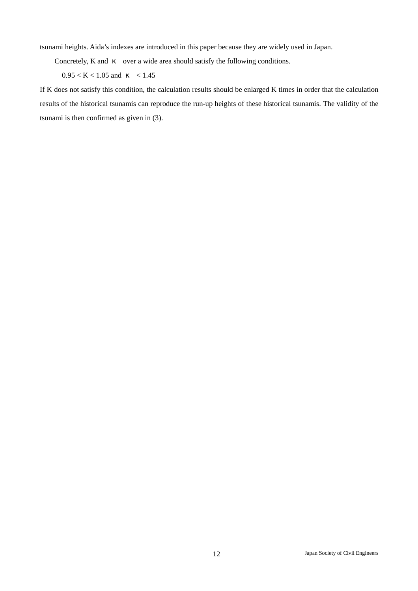tsunami heights. Aida's indexes are introduced in this paper because they are widely used in Japan.

Concretely, K and over a wide area should satisfy the following conditions.

 $0.95 < K < 1.05$  and  $< 1.45$ 

If K does not satisfy this condition, the calculation results should be enlarged K times in order that the calculation results of the historical tsunamis can reproduce the run-up heights of these historical tsunamis. The validity of the tsunami is then confirmed as given in (3).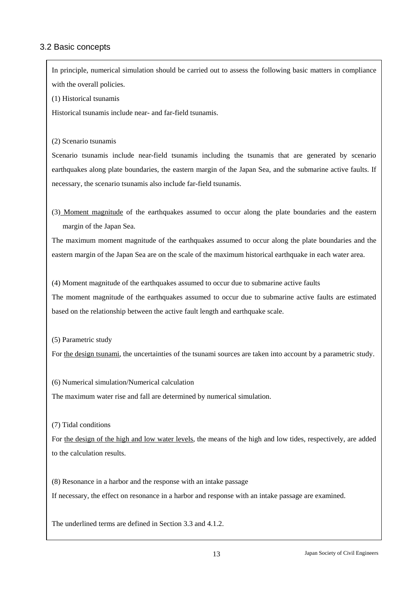## 3.2 Basic concepts

In principle, numerical simulation should be carried out to assess the following basic matters in compliance with the overall policies.

(1) Historical tsunamis

Historical tsunamis include near- and far-field tsunamis.

(2) Scenario tsunamis

Scenario tsunamis include near-field tsunamis including the tsunamis that are generated by scenario earthquakes along plate boundaries, the eastern margin of the Japan Sea, and the submarine active faults. If necessary, the scenario tsunamis also include far-field tsunamis.

(3) Moment magnitude of the earthquakes assumed to occur along the plate boundaries and the eastern margin of the Japan Sea.

The maximum moment magnitude of the earthquakes assumed to occur along the plate boundaries and the eastern margin of the Japan Sea are on the scale of the maximum historical earthquake in each water area.

(4) Moment magnitude of the earthquakes assumed to occur due to submarine active faults The moment magnitude of the earthquakes assumed to occur due to submarine active faults are estimated based on the relationship between the active fault length and earthquake scale.

(5) Parametric study

For the design tsunami, the uncertainties of the tsunami sources are taken into account by a parametric study.

(6) Numerical simulation/Numerical calculation

The maximum water rise and fall are determined by numerical simulation.

(7) Tidal conditions

For the design of the high and low water levels, the means of the high and low tides, respectively, are added to the calculation results.

(8) Resonance in a harbor and the response with an intake passage

If necessary, the effect on resonance in a harbor and response with an intake passage are examined.

The underlined terms are defined in Section 3.3 and 4.1.2.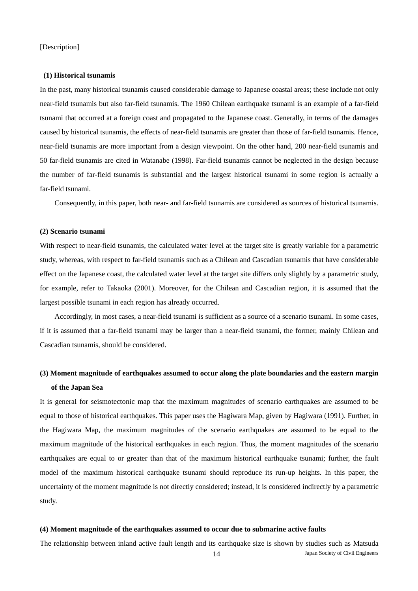#### **(1) Historical tsunamis**

In the past, many historical tsunamis caused considerable damage to Japanese coastal areas; these include not only near-field tsunamis but also far-field tsunamis. The 1960 Chilean earthquake tsunami is an example of a far-field tsunami that occurred at a foreign coast and propagated to the Japanese coast. Generally, in terms of the damages caused by historical tsunamis, the effects of near-field tsunamis are greater than those of far-field tsunamis. Hence, near-field tsunamis are more important from a design viewpoint. On the other hand, 200 near-field tsunamis and 50 far-field tsunamis are cited in Watanabe (1998). Far-field tsunamis cannot be neglected in the design because the number of far-field tsunamis is substantial and the largest historical tsunami in some region is actually a far-field tsunami.

Consequently, in this paper, both near- and far-field tsunamis are considered as sources of historical tsunamis.

#### **(2) Scenario tsunami**

With respect to near-field tsunamis, the calculated water level at the target site is greatly variable for a parametric study, whereas, with respect to far-field tsunamis such as a Chilean and Cascadian tsunamis that have considerable effect on the Japanese coast, the calculated water level at the target site differs only slightly by a parametric study, for example, refer to Takaoka (2001). Moreover, for the Chilean and Cascadian region, it is assumed that the largest possible tsunami in each region has already occurred.

Accordingly, in most cases, a near-field tsunami is sufficient as a source of a scenario tsunami. In some cases, if it is assumed that a far-field tsunami may be larger than a near-field tsunami, the former, mainly Chilean and Cascadian tsunamis, should be considered.

## **(3) Moment magnitude of earthquakes assumed to occur along the plate boundaries and the eastern margin of the Japan Sea**

It is general for seismotectonic map that the maximum magnitudes of scenario earthquakes are assumed to be equal to those of historical earthquakes. This paper uses the Hagiwara Map, given by Hagiwara (1991). Further, in the Hagiwara Map, the maximum magnitudes of the scenario earthquakes are assumed to be equal to the maximum magnitude of the historical earthquakes in each region. Thus, the moment magnitudes of the scenario earthquakes are equal to or greater than that of the maximum historical earthquake tsunami; further, the fault model of the maximum historical earthquake tsunami should reproduce its run-up heights. In this paper, the uncertainty of the moment magnitude is not directly considered; instead, it is considered indirectly by a parametric study.

#### **(4) Moment magnitude of the earthquakes assumed to occur due to submarine active faults**

14 Japan Society of Civil Engineers The relationship between inland active fault length and its earthquake size is shown by studies such as Matsuda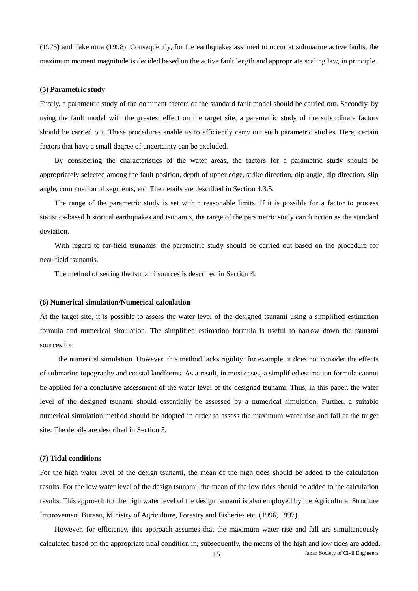(1975) and Takemura (1998). Consequently, for the earthquakes assumed to occur at submarine active faults, the maximum moment magnitude is decided based on the active fault length and appropriate scaling law, in principle.

#### **(5) Parametric study**

Firstly, a parametric study of the dominant factors of the standard fault model should be carried out. Secondly, by using the fault model with the greatest effect on the target site, a parametric study of the subordinate factors should be carried out. These procedures enable us to efficiently carry out such parametric studies. Here, certain factors that have a small degree of uncertainty can be excluded.

By considering the characteristics of the water areas, the factors for a parametric study should be appropriately selected among the fault position, depth of upper edge, strike direction, dip angle, dip direction, slip angle, combination of segments, etc. The details are described in Section 4.3.5.

The range of the parametric study is set within reasonable limits. If it is possible for a factor to process statistics-based historical earthquakes and tsunamis, the range of the parametric study can function as the standard deviation.

With regard to far-field tsunamis, the parametric study should be carried out based on the procedure for near-field tsunamis.

The method of setting the tsunami sources is described in Section 4.

#### **(6) Numerical simulation/Numerical calculation**

At the target site, it is possible to assess the water level of the designed tsunami using a simplified estimation formula and numerical simulation. The simplified estimation formula is useful to narrow down the tsunami sources for

 the numerical simulation. However, this method lacks rigidity; for example, it does not consider the effects of submarine topography and coastal landforms. As a result, in most cases, a simplified estimation formula cannot be applied for a conclusive assessment of the water level of the designed tsunami. Thus, in this paper, the water level of the designed tsunami should essentially be assessed by a numerical simulation. Further, a suitable numerical simulation method should be adopted in order to assess the maximum water rise and fall at the target site. The details are described in Section 5.

#### **(7) Tidal conditions**

For the high water level of the design tsunami, the mean of the high tides should be added to the calculation results. For the low water level of the design tsunami, the mean of the low tides should be added to the calculation results. This approach for the high water level of the design tsunami is also employed by the Agricultural Structure Improvement Bureau, Ministry of Agriculture, Forestry and Fisheries etc. (1996, 1997).

15 Japan Society of Civil Engineers However, for efficiency, this approach assumes that the maximum water rise and fall are simultaneously calculated based on the appropriate tidal condition in; subsequently, the means of the high and low tides are added.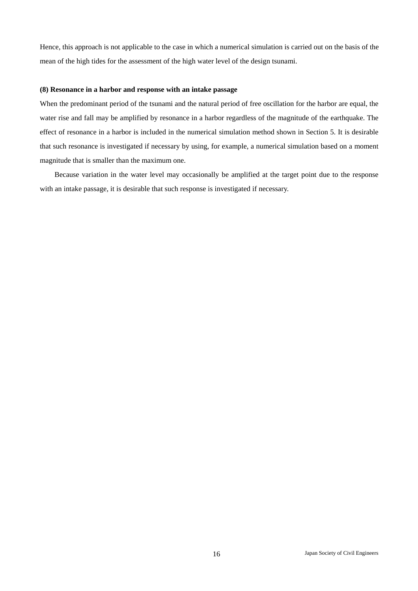Hence, this approach is not applicable to the case in which a numerical simulation is carried out on the basis of the mean of the high tides for the assessment of the high water level of the design tsunami.

#### **(8) Resonance in a harbor and response with an intake passage**

When the predominant period of the tsunami and the natural period of free oscillation for the harbor are equal, the water rise and fall may be amplified by resonance in a harbor regardless of the magnitude of the earthquake. The effect of resonance in a harbor is included in the numerical simulation method shown in Section 5. It is desirable that such resonance is investigated if necessary by using, for example, a numerical simulation based on a moment magnitude that is smaller than the maximum one.

Because variation in the water level may occasionally be amplified at the target point due to the response with an intake passage, it is desirable that such response is investigated if necessary.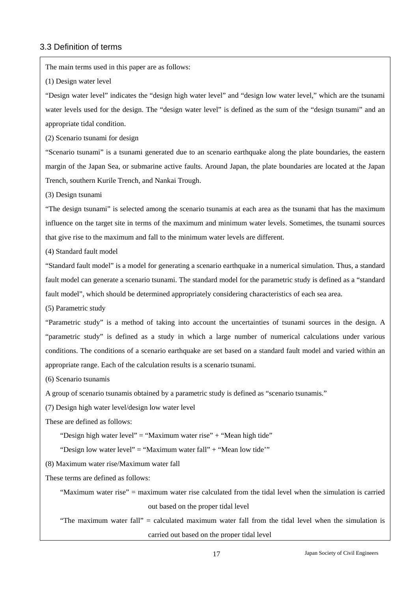## 3.3 Definition of terms

The main terms used in this paper are as follows:

(1) Design water level

"Design water level" indicates the "design high water level" and "design low water level," which are the tsunami water levels used for the design. The "design water level" is defined as the sum of the "design tsunami" and an appropriate tidal condition.

(2) Scenario tsunami for design

"Scenario tsunami" is a tsunami generated due to an scenario earthquake along the plate boundaries, the eastern margin of the Japan Sea, or submarine active faults. Around Japan, the plate boundaries are located at the Japan Trench, southern Kurile Trench, and Nankai Trough.

(3) Design tsunami

"The design tsunami" is selected among the scenario tsunamis at each area as the tsunami that has the maximum influence on the target site in terms of the maximum and minimum water levels. Sometimes, the tsunami sources that give rise to the maximum and fall to the minimum water levels are different.

(4) Standard fault model

"Standard fault model" is a model for generating a scenario earthquake in a numerical simulation. Thus, a standard fault model can generate a scenario tsunami. The standard model for the parametric study is defined as a "standard fault model", which should be determined appropriately considering characteristics of each sea area.

(5) Parametric study

"Parametric study" is a method of taking into account the uncertainties of tsunami sources in the design. A "parametric study" is defined as a study in which a large number of numerical calculations under various conditions. The conditions of a scenario earthquake are set based on a standard fault model and varied within an appropriate range. Each of the calculation results is a scenario tsunami.

(6) Scenario tsunamis

A group of scenario tsunamis obtained by a parametric study is defined as "scenario tsunamis."

(7) Design high water level/design low water level

These are defined as follows:

"Design high water level" = "Maximum water rise" + "Mean high tide"

"Design low water level" = "Maximum water fall" + "Mean low tide"

(8) Maximum water rise/Maximum water fall

These terms are defined as follows:

"Maximum water rise" = maximum water rise calculated from the tidal level when the simulation is carried out based on the proper tidal level

"The maximum water fall" = calculated maximum water fall from the tidal level when the simulation is carried out based on the proper tidal level

17 Japan Society of Civil Engineers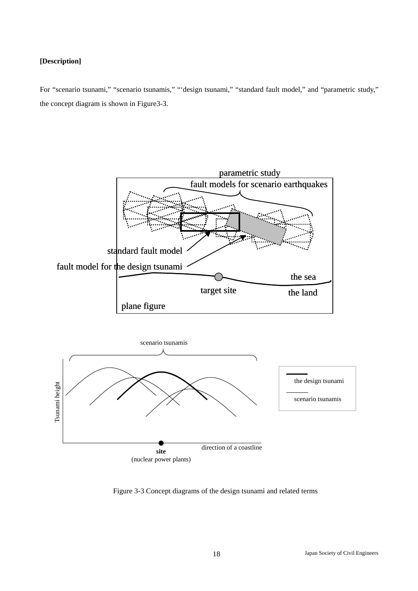#### **[Description]**

For "scenario tsunami," "scenario tsunamis," "'design tsunami," "standard fault model," and "parametric study," the concept diagram is shown in Figure3-3.



Figure 3-3 Concept diagrams of the design tsunami and related terms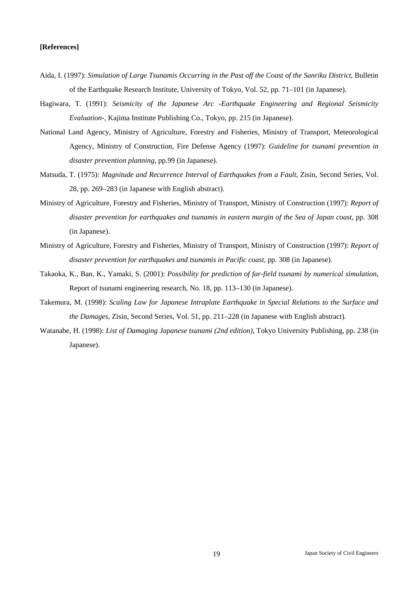#### **[References]**

- Aida, I. (1997): *Simulation of Large Tsunamis Occurring in the Past off the Coast of the Sanriku District*, Bulletin of the Earthquake Research Institute, University of Tokyo, Vol. 52, pp. 71–101 (in Japanese).
- Hagiwara, T. (1991): *Seismicity of the Japanese Arc -Earthquake Engineering and Regional Seismicity Evaluation-*, Kajima Institute Publishing Co., Tokyo, pp. 215 (in Japanese).
- National Land Agency, Ministry of Agriculture, Forestry and Fisheries, Ministry of Transport, Meteorological Agency, Ministry of Construction, Fire Defense Agency (1997): *Guideline for tsunami prevention in disaster prevention planning*, pp.99 (in Japanese).
- Matsuda, T. (1975): *Magnitude and Recurrence Interval of Earthquakes from a Fault*, Zisin, Second Series, Vol. 28, pp. 269–283 (in Japanese with English abstract).
- Ministry of Agriculture, Forestry and Fisheries, Ministry of Transport, Ministry of Construction (1997): *Report of disaster prevention for earthquakes and tsunamis in eastern margin of the Sea of Japan coast*, pp. 308 (in Japanese).
- Ministry of Agriculture, Forestry and Fisheries, Ministry of Transport, Ministry of Construction (1997): *Report of disaster prevention for earthquakes and tsunamis in Pacific coast*, pp. 308 (in Japanese).
- Takaoka, K., Ban, K., Yamaki, S. (2001): *Possibility for prediction of far-field tsunami by numerical simulation*, Report of tsunami engineering research, No. 18, pp. 113–130 (in Japanese).
- Takemura, M. (1998): *Scaling Law for Japanese Intraplate Earthquake in Special Relations to the Surface and the Damages*, Zisin, Second Series, Vol. 51, pp. 211–228 (in Japanese with English abstract).
- Watanabe, H. (1998): *List of Damaging Japanese tsunami (2nd edition)*, Tokyo University Publishing, pp. 238 (in Japanese).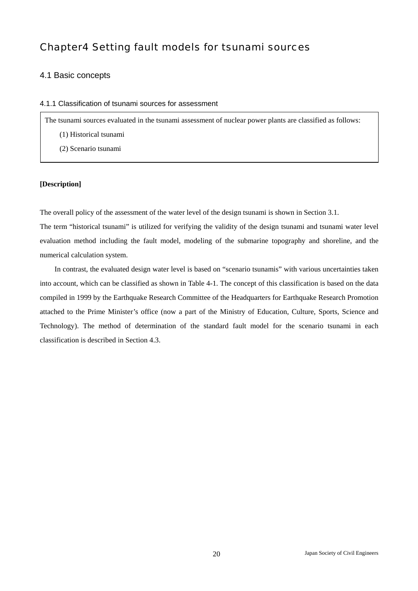# Chapter4 Setting fault models for tsunami sources

## 4.1 Basic concepts

#### 4.1.1 Classification of tsunami sources for assessment

The tsunami sources evaluated in the tsunami assessment of nuclear power plants are classified as follows:

- (1) Historical tsunami
- (2) Scenario tsunami

#### **[Description]**

The overall policy of the assessment of the water level of the design tsunami is shown in Section 3.1.

The term "historical tsunami" is utilized for verifying the validity of the design tsunami and tsunami water level evaluation method including the fault model, modeling of the submarine topography and shoreline, and the numerical calculation system.

In contrast, the evaluated design water level is based on "scenario tsunamis" with various uncertainties taken into account, which can be classified as shown in Table 4-1. The concept of this classification is based on the data compiled in 1999 by the Earthquake Research Committee of the Headquarters for Earthquake Research Promotion attached to the Prime Minister's office (now a part of the Ministry of Education, Culture, Sports, Science and Technology). The method of determination of the standard fault model for the scenario tsunami in each classification is described in Section 4.3.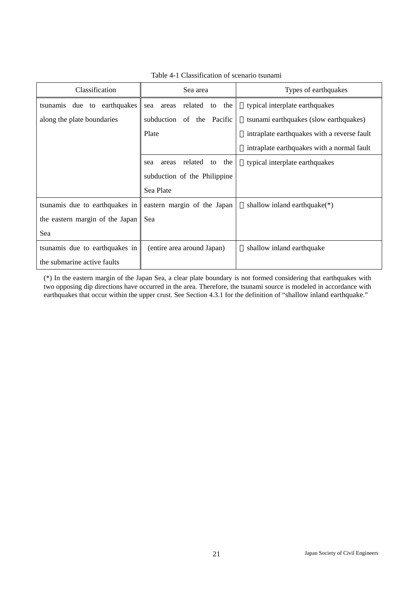| Classification                  | Sea area                             | Types of earthquakes                        |
|---------------------------------|--------------------------------------|---------------------------------------------|
| tsunamis due to earthquakes     | related<br>to the<br>areas<br>sea    | typical interplate earthquakes              |
| along the plate boundaries      | subduction<br>of the Pacific         | tsunami earthquakes (slow earthquakes)      |
|                                 | Plate                                | intraplate earthquakes with a reverse fault |
|                                 |                                      | intraplate earthquakes with a normal fault  |
|                                 | related<br>the<br>areas<br>to<br>sea | typical interplate earthquakes              |
|                                 | subduction of the Philippine         |                                             |
|                                 | Sea Plate                            |                                             |
| tsunamis due to earthquakes in  | eastern margin of the Japan          | shallow inland earthquake $(*)$             |
| the eastern margin of the Japan | Sea                                  |                                             |
| Sea                             |                                      |                                             |
| tsunamis due to earthquakes in  | (entire area around Japan)           | shallow inland earthquake                   |
| the submarine active faults     |                                      |                                             |

Table 4-1 Classification of scenario tsunami

(\*) In the eastern margin of the Japan Sea, a clear plate boundary is not formed considering that earthquakes with two opposing dip directions have occurred in the area. Therefore, the tsunami source is modeled in accordance with earthquakes that occur within the upper crust. See Section 4.3.1 for the definition of "shallow inland earthquake."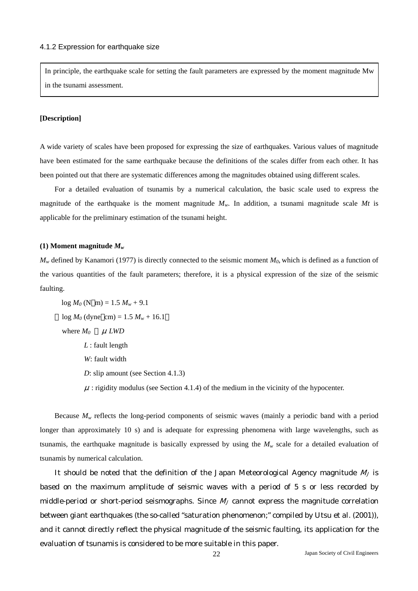In principle, the earthquake scale for setting the fault parameters are expressed by the moment magnitude Mw in the tsunami assessment.

#### **[Description]**

A wide variety of scales have been proposed for expressing the size of earthquakes. Various values of magnitude have been estimated for the same earthquake because the definitions of the scales differ from each other. It has been pointed out that there are systematic differences among the magnitudes obtained using different scales.

For a detailed evaluation of tsunamis by a numerical calculation, the basic scale used to express the magnitude of the earthquake is the moment magnitude  $M_w$ . In addition, a tsunami magnitude scale Mt is applicable for the preliminary estimation of the tsunami height.

#### **(1) Moment magnitude** *Mw*

 $M_w$  defined by Kanamori (1977) is directly connected to the seismic moment  $M_0$ , which is defined as a function of the various quantities of the fault parameters; therefore, it is a physical expression of the size of the seismic faulting.

 $log M_0$  (N m) = 1.5  $M_w$  + 9.1  $log M_0$  (dyne cm) = 1.5  $M_w$  + 16.1 where  $M_0$  *μ LWD L* : fault length *W*: fault width *D*: slip amount (see Section 4.1.3)  $\mu$ : rigidity modulus (see Section 4.1.4) of the medium in the vicinity of the hypocenter.

Because  $M_w$  reflects the long-period components of seismic waves (mainly a periodic band with a period longer than approximately 10 s) and is adequate for expressing phenomena with large wavelengths, such as tsunamis, the earthquake magnitude is basically expressed by using the  $M_w$  scale for a detailed evaluation of tsunamis by numerical calculation.

It should be noted that the definition of the Japan Meteorological Agency magnitude  $M_I$  is based on the maximum amplitude of seismic waves with a period of 5 s or less recorded by middle-period or short-period seismographs. Since  $M_J$  cannot express the magnitude correlation between giant earthquakes (the so-called "saturation phenomenon;" compiled by Utsu et al. (2001)), and it cannot directly reflect the physical magnitude of the seismic faulting, its application for the evaluation of tsunamis is considered to be more suitable in this paper.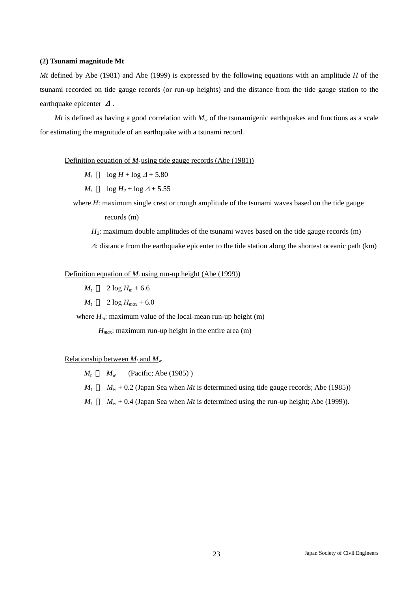#### **(2) Tsunami magnitude Mt**

*Mt* defined by Abe (1981) and Abe (1999) is expressed by the following equations with an amplitude *H* of the tsunami recorded on tide gauge records (or run-up heights) and the distance from the tide gauge station to the earthquake epicenter

*Mt* is defined as having a good correlation with  $M_w$  of the tsunamigenic earthquakes and functions as a scale for estimating the magnitude of an earthquake with a tsunami record.

#### Definition equation of  $M_t$  using tide gauge records (Abe (1981))

- $M_t$  log  $H$  + log  $\Delta$  + 5.80
- *M<sub>t</sub>*  $\log H_2 + \log A + 5.55$
- where *H*: maximum single crest or trough amplitude of the tsunami waves based on the tide gauge records (m)
	- *H<sub>2</sub>*: maximum double amplitudes of the tsunami waves based on the tide gauge records (m) <sup>∆</sup>: distance from the earthquake epicenter to the tide station along the shortest oceanic path (km)

#### Definition equation of  $M_t$  using run-up height (Abe (1999))

- $M_t$  2 log  $H_m$  + 6.6
- $M_t$  2 log  $H_{max}$  + 6.0

where  $H_m$ : maximum value of the local-mean run-up height (m)

*H<sub>max</sub>*: maximum run-up height in the entire area (m)

#### Relationship between  $M_t$  and  $M_w$

- $M_t$  *M<sub>w</sub>* (Pacific; Abe (1985))
- $M_t$  *M<sub>w</sub>* + 0.2 (Japan Sea when *Mt* is determined using tide gauge records; Abe (1985))
- $M_t$  *M<sub>w</sub>* + 0.4 (Japan Sea when *Mt* is determined using the run-up height; Abe (1999)).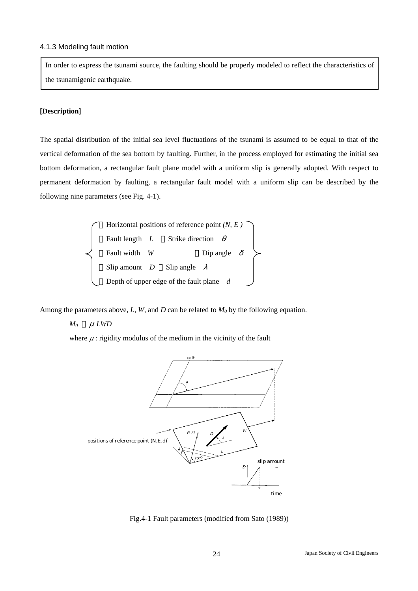#### 4.1.3 Modeling fault motion

In order to express the tsunami source, the faulting should be properly modeled to reflect the characteristics of the tsunamigenic earthquake.

#### **[Description]**

The spatial distribution of the initial sea level fluctuations of the tsunami is assumed to be equal to that of the vertical deformation of the sea bottom by faulting. Further, in the process employed for estimating the initial sea bottom deformation, a rectangular fault plane model with a uniform slip is generally adopted. With respect to permanent deformation by faulting, a rectangular fault model with a uniform slip can be described by the following nine parameters (see Fig. 4-1).



Among the parameters above,  $L$ ,  $W$ , and  $D$  can be related to  $M_0$  by the following equation.

#### *M0* <sup>μ</sup>*LWD*

where  $\mu$ : rigidity modulus of the medium in the vicinity of the fault



Fig.4-1 Fault parameters (modified from Sato (1989))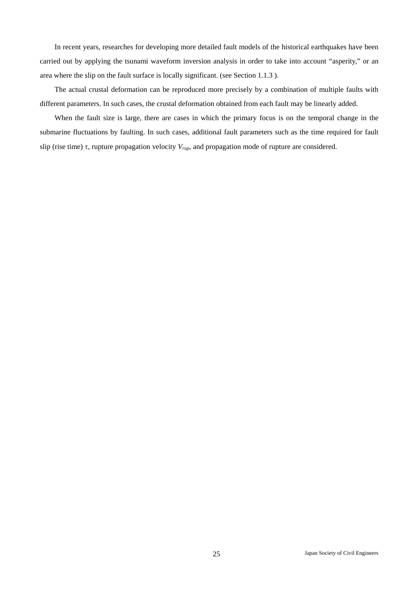In recent years, researches for developing more detailed fault models of the historical earthquakes have been carried out by applying the tsunami waveform inversion analysis in order to take into account "asperity," or an area where the slip on the fault surface is locally significant. (see Section 1.1.3 ).

The actual crustal deformation can be reproduced more precisely by a combination of multiple faults with different parameters. In such cases, the crustal deformation obtained from each fault may be linearly added.

When the fault size is large, there are cases in which the primary focus is on the temporal change in the submarine fluctuations by faulting. In such cases, additional fault parameters such as the time required for fault slip (rise time) τ, rupture propagation velocity *Vrup*, and propagation mode of rupture are considered.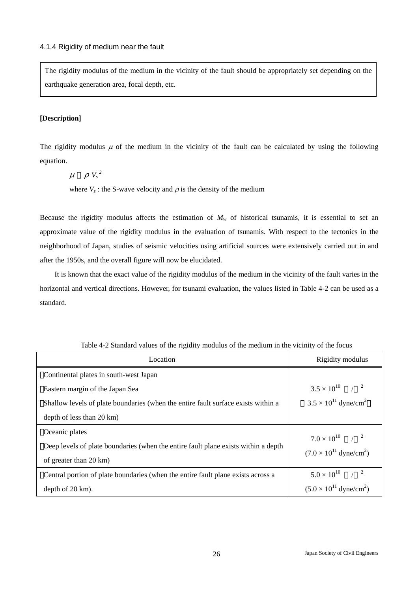The rigidity modulus of the medium in the vicinity of the fault should be appropriately set depending on the earthquake generation area, focal depth, etc.

### **[Description]**

Г

The rigidity modulus  $\mu$  of the medium in the vicinity of the fault can be calculated by using the following equation.

 $\mu$   $V_s^2$ 

where  $V_s$ : the S-wave velocity and  $\rho$  is the density of the medium

Because the rigidity modulus affects the estimation of  $M_w$  of historical tsunamis, it is essential to set an approximate value of the rigidity modulus in the evaluation of tsunamis. With respect to the tectonics in the neighborhood of Japan, studies of seismic velocities using artificial sources were extensively carried out in and after the 1950s, and the overall figure will now be elucidated.

It is known that the exact value of the rigidity modulus of the medium in the vicinity of the fault varies in the horizontal and vertical directions. However, for tsunami evaluation, the values listed in Table 4-2 can be used as a standard.

| Location                                                                           | Rigidity modulus                          |
|------------------------------------------------------------------------------------|-------------------------------------------|
| Continental plates in south-west Japan                                             |                                           |
| Eastern margin of the Japan Sea                                                    | $3.5 \times 10^{10}$ / <sup>2</sup>       |
| Shallow levels of plate boundaries (when the entire fault surface exists within a  | $3.5 \times 10^{11}$ dyne/cm <sup>2</sup> |
| depth of less than 20 km)                                                          |                                           |
| Oceanic plates                                                                     | $7.0 \times 10^{10}$ / <sup>2</sup>       |
| Deep levels of plate boundaries (when the entire fault plane exists within a depth | $(7.0 \times 10^{11} \text{ dyne/cm}^2)$  |
| of greater than 20 km)                                                             |                                           |
| Central portion of plate boundaries (when the entire fault plane exists across a   | $5.0 \times 10^{10}$ / <sup>2</sup>       |
| depth of $20 \text{ km}$ ).                                                        | $(5.0 \times 10^{11} \text{ dyne/cm}^2)$  |

Table 4-2 Standard values of the rigidity modulus of the medium in the vicinity of the focus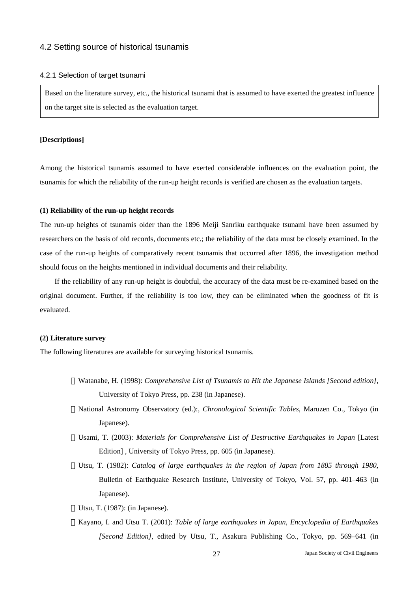#### 4.2 Setting source of historical tsunamis

#### 4.2.1 Selection of target tsunami

Based on the literature survey, etc., the historical tsunami that is assumed to have exerted the greatest influence on the target site is selected as the evaluation target.

#### **[Descriptions]**

Among the historical tsunamis assumed to have exerted considerable influences on the evaluation point, the tsunamis for which the reliability of the run-up height records is verified are chosen as the evaluation targets.

#### **(1) Reliability of the run-up height records**

The run-up heights of tsunamis older than the 1896 Meiji Sanriku earthquake tsunami have been assumed by researchers on the basis of old records, documents etc.; the reliability of the data must be closely examined. In the case of the run-up heights of comparatively recent tsunamis that occurred after 1896, the investigation method should focus on the heights mentioned in individual documents and their reliability.

If the reliability of any run-up height is doubtful, the accuracy of the data must be re-examined based on the original document. Further, if the reliability is too low, they can be eliminated when the goodness of fit is evaluated.

#### **(2) Literature survey**

The following literatures are available for surveying historical tsunamis.

- Watanabe, H. (1998): *Comprehensive List of Tsunamis to Hit the Japanese Islands [Second edition]*, University of Tokyo Press, pp. 238 (in Japanese).
- National Astronomy Observatory (ed.):, *Chronological Scientific Tables*, Maruzen Co., Tokyo (in Japanese).
- Usami, T. (2003): *Materials for Comprehensive List of Destructive Earthquakes in Japan* [Latest Edition] , University of Tokyo Press, pp. 605 (in Japanese).
- Utsu, T. (1982): *Catalog of large earthquakes in the region of Japan from 1885 through 1980*, Bulletin of Earthquake Research Institute, University of Tokyo, Vol. 57, pp. 401–463 (in Japanese).
- Utsu, T. (1987): (in Japanese).
- Kayano, I. and Utsu T. (2001): *Table of large earthquakes in Japan*, *Encyclopedia of Earthquakes [Second Edition]*, edited by Utsu, T., Asakura Publishing Co., Tokyo, pp. 569–641 (in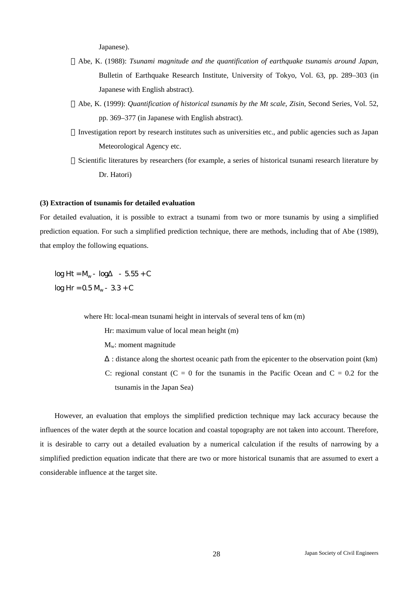Japanese).

- Abe, K. (1988): *Tsunami magnitude and the quantification of earthquake tsunamis around Japan*, Bulletin of Earthquake Research Institute, University of Tokyo, Vol. 63, pp. 289–303 (in Japanese with English abstract).
- Abe, K. (1999): *Quantification of historical tsunamis by the Mt scale*, *Zisin*, Second Series, Vol. 52, pp. 369–377 (in Japanese with English abstract).
- Investigation report by research institutes such as universities etc., and public agencies such as Japan Meteorological Agency etc.
- Scientific literatures by researchers (for example, a series of historical tsunami research literature by Dr. Hatori)

#### **(3) Extraction of tsunamis for detailed evaluation**

For detailed evaluation, it is possible to extract a tsunami from two or more tsunamis by using a simplified prediction equation. For such a simplified prediction technique, there are methods, including that of Abe (1989), that employ the following equations.

 $log Ht = M<sub>w</sub> - log - 5.55 + C$  $log Hr = 0.5 M<sub>w</sub> - 3.3 + C$ 

where Ht: local-mean tsunami height in intervals of several tens of km (m)

Hr: maximum value of local mean height (m)

- $M_w$ : moment magnitude
- : distance along the shortest oceanic path from the epicenter to the observation point (km) C: regional constant ( $C = 0$  for the tsunamis in the Pacific Ocean and  $C = 0.2$  for the tsunamis in the Japan Sea)

However, an evaluation that employs the simplified prediction technique may lack accuracy because the influences of the water depth at the source location and coastal topography are not taken into account. Therefore, it is desirable to carry out a detailed evaluation by a numerical calculation if the results of narrowing by a simplified prediction equation indicate that there are two or more historical tsunamis that are assumed to exert a considerable influence at the target site.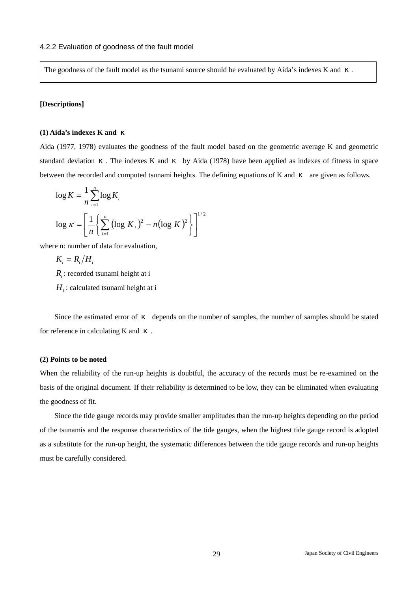The goodness of the fault model as the tsunami source should be evaluated by Aida's indexes K and

#### **[Descriptions]**

#### **(1) Aida's indexes K and**

Aida (1977, 1978) evaluates the goodness of the fault model based on the geometric average K and geometric standard deviation . The indexes K and by Aida (1978) have been applied as indexes of fitness in space between the recorded and computed tsunami heights. The defining equations of  $K$  and are given as follows.

$$
\log K = \frac{1}{n} \sum_{i=1}^{n} \log K_i
$$
  

$$
\log K = \left[ \frac{1}{n} \left\{ \sum_{i=1}^{n} \left( \log K_i \right)^2 - n \left( \log K \right)^2 \right\} \right]^{1/2}
$$

where n: number of data for evaluation,

$$
K_i = R_i/H_i
$$

*Ri* : recorded tsunami height at i

 $H_i$ : calculated tsunami height at i

Since the estimated error of depends on the number of samples, the number of samples should be stated for reference in calculating K and

#### **(2) Points to be noted**

When the reliability of the run-up heights is doubtful, the accuracy of the records must be re-examined on the basis of the original document. If their reliability is determined to be low, they can be eliminated when evaluating the goodness of fit.

Since the tide gauge records may provide smaller amplitudes than the run-up heights depending on the period of the tsunamis and the response characteristics of the tide gauges, when the highest tide gauge record is adopted as a substitute for the run-up height, the systematic differences between the tide gauge records and run-up heights must be carefully considered.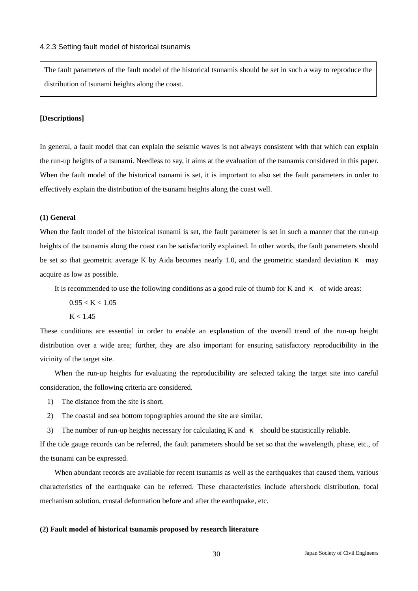The fault parameters of the fault model of the historical tsunamis should be set in such a way to reproduce the distribution of tsunami heights along the coast.

#### **[Descriptions]**

In general, a fault model that can explain the seismic waves is not always consistent with that which can explain the run-up heights of a tsunami. Needless to say, it aims at the evaluation of the tsunamis considered in this paper. When the fault model of the historical tsunami is set, it is important to also set the fault parameters in order to effectively explain the distribution of the tsunami heights along the coast well.

#### **(1) General**

When the fault model of the historical tsunami is set, the fault parameter is set in such a manner that the run-up heights of the tsunamis along the coast can be satisfactorily explained. In other words, the fault parameters should be set so that geometric average K by Aida becomes nearly 1.0, and the geometric standard deviation may acquire as low as possible.

It is recommended to use the following conditions as a good rule of thumb for K and of wide areas:

 $0.95 < K < 1.05$ 

 $K < 1.45$ 

These conditions are essential in order to enable an explanation of the overall trend of the run-up height distribution over a wide area; further, they are also important for ensuring satisfactory reproducibility in the vicinity of the target site.

When the run-up heights for evaluating the reproducibility are selected taking the target site into careful consideration, the following criteria are considered.

- 1) The distance from the site is short.
- 2) The coastal and sea bottom topographies around the site are similar.
- 3) The number of run-up heights necessary for calculating K and should be statistically reliable.

If the tide gauge records can be referred, the fault parameters should be set so that the wavelength, phase, etc., of the tsunami can be expressed.

When abundant records are available for recent tsunamis as well as the earthquakes that caused them, various characteristics of the earthquake can be referred. These characteristics include aftershock distribution, focal mechanism solution, crustal deformation before and after the earthquake, etc.

#### **(2) Fault model of historical tsunamis proposed by research literature**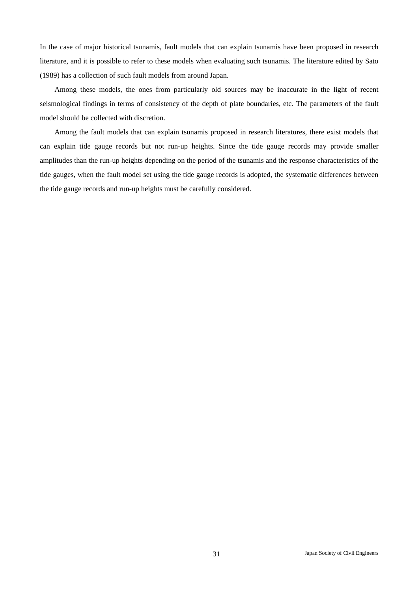In the case of major historical tsunamis, fault models that can explain tsunamis have been proposed in research literature, and it is possible to refer to these models when evaluating such tsunamis. The literature edited by Sato (1989) has a collection of such fault models from around Japan.

Among these models, the ones from particularly old sources may be inaccurate in the light of recent seismological findings in terms of consistency of the depth of plate boundaries, etc. The parameters of the fault model should be collected with discretion.

Among the fault models that can explain tsunamis proposed in research literatures, there exist models that can explain tide gauge records but not run-up heights. Since the tide gauge records may provide smaller amplitudes than the run-up heights depending on the period of the tsunamis and the response characteristics of the tide gauges, when the fault model set using the tide gauge records is adopted, the systematic differences between the tide gauge records and run-up heights must be carefully considered.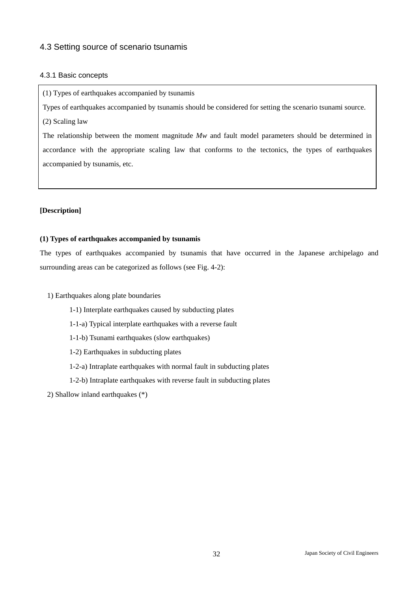## 4.3 Setting source of scenario tsunamis

#### 4.3.1 Basic concepts

(1) Types of earthquakes accompanied by tsunamis

Types of earthquakes accompanied by tsunamis should be considered for setting the scenario tsunami source.

(2) Scaling law

The relationship between the moment magnitude *Mw* and fault model parameters should be determined in accordance with the appropriate scaling law that conforms to the tectonics, the types of earthquakes accompanied by tsunamis, etc.

#### **[Description]**

#### **(1) Types of earthquakes accompanied by tsunamis**

The types of earthquakes accompanied by tsunamis that have occurred in the Japanese archipelago and surrounding areas can be categorized as follows (see Fig. 4-2):

1) Earthquakes along plate boundaries

- 1-1) Interplate earthquakes caused by subducting plates
- 1-1-a) Typical interplate earthquakes with a reverse fault
- 1-1-b) Tsunami earthquakes (slow earthquakes)
- 1-2) Earthquakes in subducting plates
- 1-2-a) Intraplate earthquakes with normal fault in subducting plates
- 1-2-b) Intraplate earthquakes with reverse fault in subducting plates

2) Shallow inland earthquakes (\*)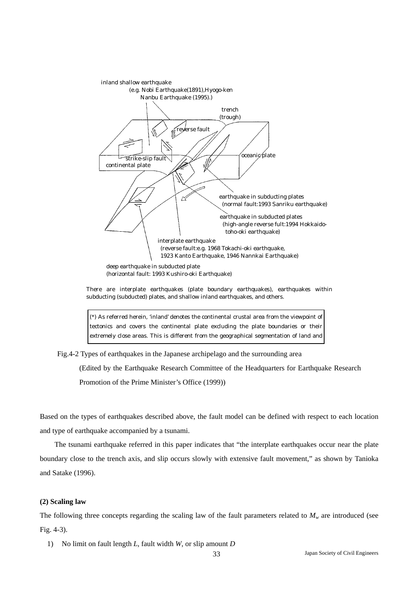

There are interplate earthquakes (plate boundary earthquakes), earthquakes within subducting (subducted) plates, and shallow inland earthquakes, and others.

(\*) As referred herein, 'inland' denotes the continental crustal area from the viewpoint of tectonics and covers the continental plate excluding the plate boundaries or their extremely close areas. This is different from the geographical segmentation of land and

Fig.4-2 Types of earthquakes in the Japanese archipelago and the surrounding area

(Edited by the Earthquake Research Committee of the Headquarters for Earthquake Research Promotion of the Prime Minister's Office (1999))

Based on the types of earthquakes described above, the fault model can be defined with respect to each location and type of earthquake accompanied by a tsunami.

The tsunami earthquake referred in this paper indicates that "the interplate earthquakes occur near the plate boundary close to the trench axis, and slip occurs slowly with extensive fault movement," as shown by Tanioka and Satake (1996).

#### **(2) Scaling law**

The following three concepts regarding the scaling law of the fault parameters related to  $M_w$  are introduced (see Fig. 4-3).

1) No limit on fault length *L*, fault width *W*, or slip amount *D*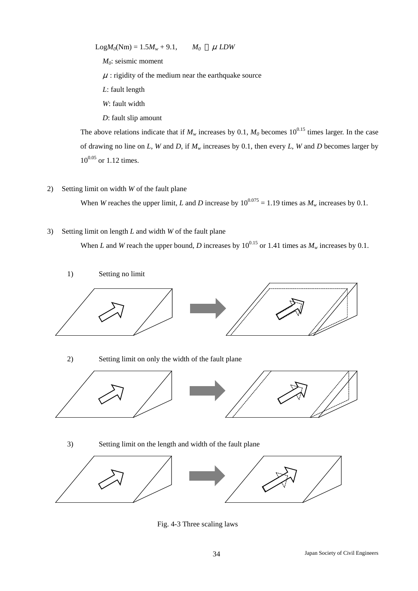$LogM_0(Nm) = 1.5M_w + 9.1$ ,  $M_0$   $\mu$  LDW *M0*: seismic moment  $\mu$ : rigidity of the medium near the earthquake source *L*: fault length *W*: fault width

*D*: fault slip amount

The above relations indicate that if  $M_w$  increases by 0.1,  $M_0$  becomes 10<sup>0.15</sup> times larger. In the case of drawing no line on *L*, *W* and *D*, if *Mw* increases by 0.1, then every *L*, *W* and *D* becomes larger by  $10^{0.05}$  or 1.12 times.

#### 2) Setting limit on width *W* of the fault plane

When *W* reaches the upper limit, *L* and *D* increase by  $10^{0.075} = 1.19$  times as  $M_w$  increases by 0.1.

3) Setting limit on length *L* and width *W* of the fault plane

When *L* and *W* reach the upper bound, *D* increases by  $10^{0.15}$  or 1.41 times as  $M_w$  increases by 0.1.



## 3) Setting limit on the length and width of the fault plane



Fig. 4-3 Three scaling laws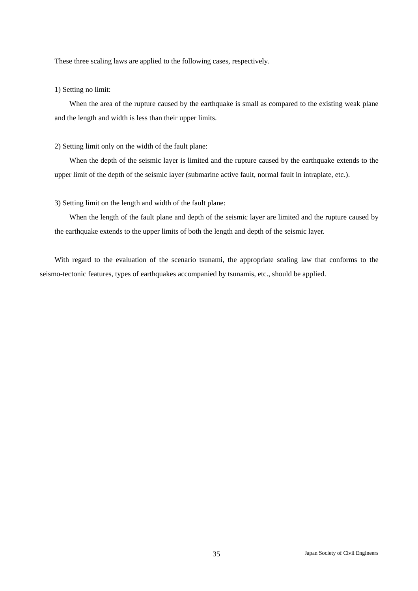These three scaling laws are applied to the following cases, respectively.

#### 1) Setting no limit:

When the area of the rupture caused by the earthquake is small as compared to the existing weak plane and the length and width is less than their upper limits.

#### 2) Setting limit only on the width of the fault plane:

When the depth of the seismic layer is limited and the rupture caused by the earthquake extends to the upper limit of the depth of the seismic layer (submarine active fault, normal fault in intraplate, etc.).

#### 3) Setting limit on the length and width of the fault plane:

When the length of the fault plane and depth of the seismic layer are limited and the rupture caused by the earthquake extends to the upper limits of both the length and depth of the seismic layer.

With regard to the evaluation of the scenario tsunami, the appropriate scaling law that conforms to the seismo-tectonic features, types of earthquakes accompanied by tsunamis, etc., should be applied.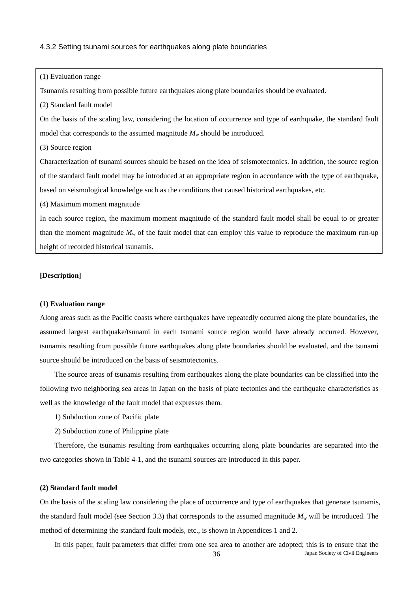#### 4.3.2 Setting tsunami sources for earthquakes along plate boundaries

(1) Evaluation range

Tsunamis resulting from possible future earthquakes along plate boundaries should be evaluated.

(2) Standard fault model

On the basis of the scaling law, considering the location of occurrence and type of earthquake, the standard fault model that corresponds to the assumed magnitude  $M_w$  should be introduced.

(3) Source region

Characterization of tsunami sources should be based on the idea of seismotectonics. In addition, the source region of the standard fault model may be introduced at an appropriate region in accordance with the type of earthquake, based on seismological knowledge such as the conditions that caused historical earthquakes, etc.

(4) Maximum moment magnitude

In each source region, the maximum moment magnitude of the standard fault model shall be equal to or greater than the moment magnitude  $M_w$  of the fault model that can employ this value to reproduce the maximum run-up height of recorded historical tsunamis.

#### **[Description]**

## **(1) Evaluation range**

Along areas such as the Pacific coasts where earthquakes have repeatedly occurred along the plate boundaries, the assumed largest earthquake/tsunami in each tsunami source region would have already occurred. However, tsunamis resulting from possible future earthquakes along plate boundaries should be evaluated, and the tsunami source should be introduced on the basis of seismotectonics.

The source areas of tsunamis resulting from earthquakes along the plate boundaries can be classified into the following two neighboring sea areas in Japan on the basis of plate tectonics and the earthquake characteristics as well as the knowledge of the fault model that expresses them.

1) Subduction zone of Pacific plate

2) Subduction zone of Philippine plate

Therefore, the tsunamis resulting from earthquakes occurring along plate boundaries are separated into the two categories shown in Table 4-1, and the tsunami sources are introduced in this paper.

#### **(2) Standard fault model**

On the basis of the scaling law considering the place of occurrence and type of earthquakes that generate tsunamis, the standard fault model (see Section 3.3) that corresponds to the assumed magnitude  $M_w$  will be introduced. The method of determining the standard fault models, etc., is shown in Appendices 1 and 2.

36 Japan Society of Civil Engineers In this paper, fault parameters that differ from one sea area to another are adopted; this is to ensure that the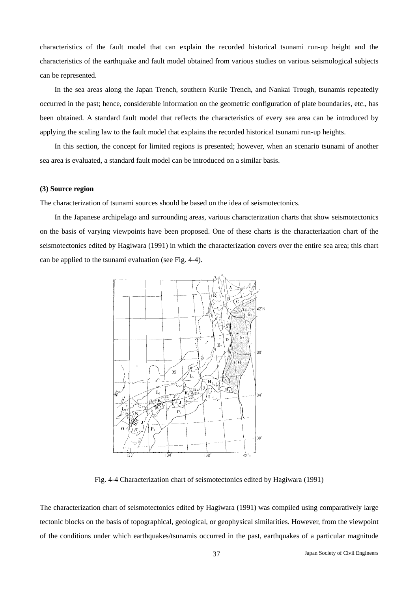characteristics of the fault model that can explain the recorded historical tsunami run-up height and the characteristics of the earthquake and fault model obtained from various studies on various seismological subjects can be represented.

In the sea areas along the Japan Trench, southern Kurile Trench, and Nankai Trough, tsunamis repeatedly occurred in the past; hence, considerable information on the geometric configuration of plate boundaries, etc., has been obtained. A standard fault model that reflects the characteristics of every sea area can be introduced by applying the scaling law to the fault model that explains the recorded historical tsunami run-up heights.

In this section, the concept for limited regions is presented; however, when an scenario tsunami of another sea area is evaluated, a standard fault model can be introduced on a similar basis.

#### **(3) Source region**

The characterization of tsunami sources should be based on the idea of seismotectonics.

In the Japanese archipelago and surrounding areas, various characterization charts that show seismotectonics on the basis of varying viewpoints have been proposed. One of these charts is the characterization chart of the seismotectonics edited by Hagiwara (1991) in which the characterization covers over the entire sea area; this chart can be applied to the tsunami evaluation (see Fig. 4-4).



Fig. 4-4 Characterization chart of seismotectonics edited by Hagiwara (1991)

The characterization chart of seismotectonics edited by Hagiwara (1991) was compiled using comparatively large tectonic blocks on the basis of topographical, geological, or geophysical similarities. However, from the viewpoint of the conditions under which earthquakes/tsunamis occurred in the past, earthquakes of a particular magnitude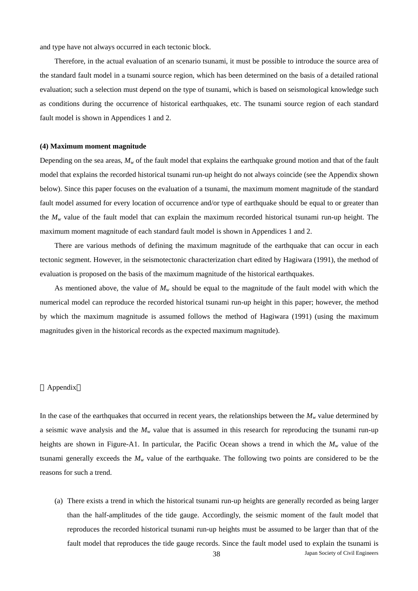and type have not always occurred in each tectonic block.

Therefore, in the actual evaluation of an scenario tsunami, it must be possible to introduce the source area of the standard fault model in a tsunami source region, which has been determined on the basis of a detailed rational evaluation; such a selection must depend on the type of tsunami, which is based on seismological knowledge such as conditions during the occurrence of historical earthquakes, etc. The tsunami source region of each standard fault model is shown in Appendices 1 and 2.

#### **(4) Maximum moment magnitude**

Depending on the sea areas,  $M_w$  of the fault model that explains the earthquake ground motion and that of the fault model that explains the recorded historical tsunami run-up height do not always coincide (see the Appendix shown below). Since this paper focuses on the evaluation of a tsunami, the maximum moment magnitude of the standard fault model assumed for every location of occurrence and/or type of earthquake should be equal to or greater than the  $M_w$  value of the fault model that can explain the maximum recorded historical tsunami run-up height. The maximum moment magnitude of each standard fault model is shown in Appendices 1 and 2.

There are various methods of defining the maximum magnitude of the earthquake that can occur in each tectonic segment. However, in the seismotectonic characterization chart edited by Hagiwara (1991), the method of evaluation is proposed on the basis of the maximum magnitude of the historical earthquakes.

As mentioned above, the value of  $M_w$  should be equal to the magnitude of the fault model with which the numerical model can reproduce the recorded historical tsunami run-up height in this paper; however, the method by which the maximum magnitude is assumed follows the method of Hagiwara (1991) (using the maximum magnitudes given in the historical records as the expected maximum magnitude).

#### Appendix

In the case of the earthquakes that occurred in recent years, the relationships between the  $M_w$  value determined by a seismic wave analysis and the  $M_w$  value that is assumed in this research for reproducing the tsunami run-up heights are shown in Figure-A1. In particular, the Pacific Ocean shows a trend in which the  $M_w$  value of the tsunami generally exceeds the  $M<sub>w</sub>$  value of the earthquake. The following two points are considered to be the reasons for such a trend.

38 Japan Society of Civil Engineers (a) There exists a trend in which the historical tsunami run-up heights are generally recorded as being larger than the half-amplitudes of the tide gauge. Accordingly, the seismic moment of the fault model that reproduces the recorded historical tsunami run-up heights must be assumed to be larger than that of the fault model that reproduces the tide gauge records. Since the fault model used to explain the tsunami is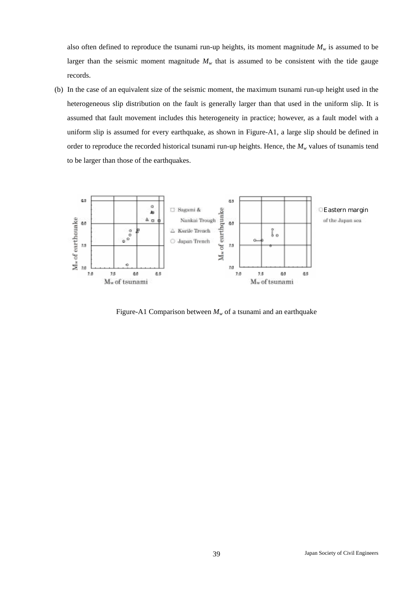also often defined to reproduce the tsunami run-up heights, its moment magnitude  $M_w$  is assumed to be larger than the seismic moment magnitude  $M<sub>w</sub>$  that is assumed to be consistent with the tide gauge records.

(b) In the case of an equivalent size of the seismic moment, the maximum tsunami run-up height used in the heterogeneous slip distribution on the fault is generally larger than that used in the uniform slip. It is assumed that fault movement includes this heterogeneity in practice; however, as a fault model with a uniform slip is assumed for every earthquake, as shown in Figure-A1, a large slip should be defined in order to reproduce the recorded historical tsunami run-up heights. Hence, the  $M_w$  values of tsunamis tend to be larger than those of the earthquakes.



Figure-A1 Comparison between  $M_w$  of a tsunami and an earthquake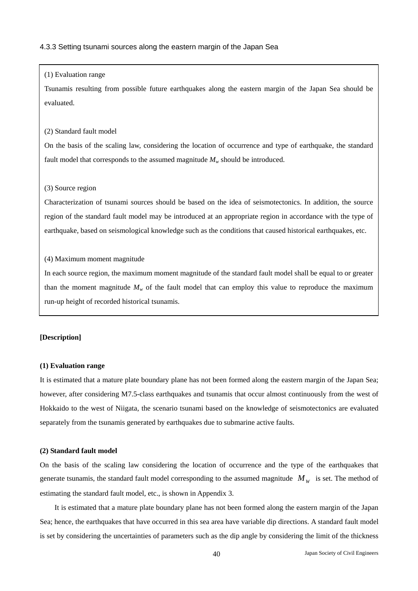#### 4.3.3 Setting tsunami sources along the eastern margin of the Japan Sea

#### (1) Evaluation range

Tsunamis resulting from possible future earthquakes along the eastern margin of the Japan Sea should be evaluated.

#### (2) Standard fault model

On the basis of the scaling law, considering the location of occurrence and type of earthquake, the standard fault model that corresponds to the assumed magnitude  $M_w$  should be introduced.

#### (3) Source region

Characterization of tsunami sources should be based on the idea of seismotectonics. In addition, the source region of the standard fault model may be introduced at an appropriate region in accordance with the type of earthquake, based on seismological knowledge such as the conditions that caused historical earthquakes, etc.

#### (4) Maximum moment magnitude

In each source region, the maximum moment magnitude of the standard fault model shall be equal to or greater than the moment magnitude  $M_w$  of the fault model that can employ this value to reproduce the maximum run-up height of recorded historical tsunamis.

## **[Description]**

#### **(1) Evaluation range**

It is estimated that a mature plate boundary plane has not been formed along the eastern margin of the Japan Sea; however, after considering M7.5-class earthquakes and tsunamis that occur almost continuously from the west of Hokkaido to the west of Niigata, the scenario tsunami based on the knowledge of seismotectonics are evaluated separately from the tsunamis generated by earthquakes due to submarine active faults.

#### **(2) Standard fault model**

On the basis of the scaling law considering the location of occurrence and the type of the earthquakes that generate tsunamis, the standard fault model corresponding to the assumed magnitude  $M<sub>w</sub>$  is set. The method of estimating the standard fault model, etc., is shown in Appendix 3.

It is estimated that a mature plate boundary plane has not been formed along the eastern margin of the Japan Sea; hence, the earthquakes that have occurred in this sea area have variable dip directions. A standard fault model is set by considering the uncertainties of parameters such as the dip angle by considering the limit of the thickness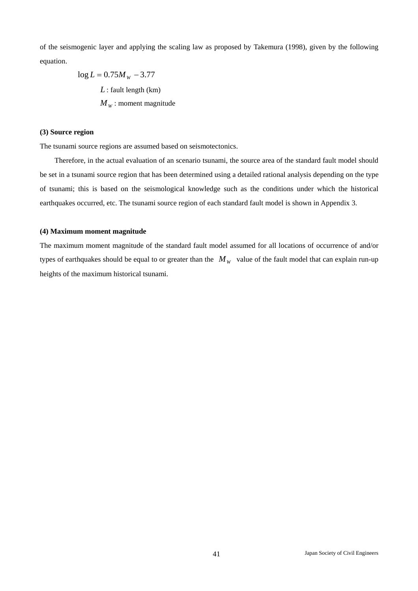of the seismogenic layer and applying the scaling law as proposed by Takemura (1998), given by the following equation.

$$
log L = 0.75M_{W} - 3.77
$$
  
L: fault length (km)  
 $M_{W}$ : moment magnitude

#### **(3) Source region**

The tsunami source regions are assumed based on seismotectonics.

Therefore, in the actual evaluation of an scenario tsunami, the source area of the standard fault model should be set in a tsunami source region that has been determined using a detailed rational analysis depending on the type of tsunami; this is based on the seismological knowledge such as the conditions under which the historical earthquakes occurred, etc. The tsunami source region of each standard fault model is shown in Appendix 3.

#### **(4) Maximum moment magnitude**

The maximum moment magnitude of the standard fault model assumed for all locations of occurrence of and/or types of earthquakes should be equal to or greater than the  $M<sub>W</sub>$  value of the fault model that can explain run-up heights of the maximum historical tsunami.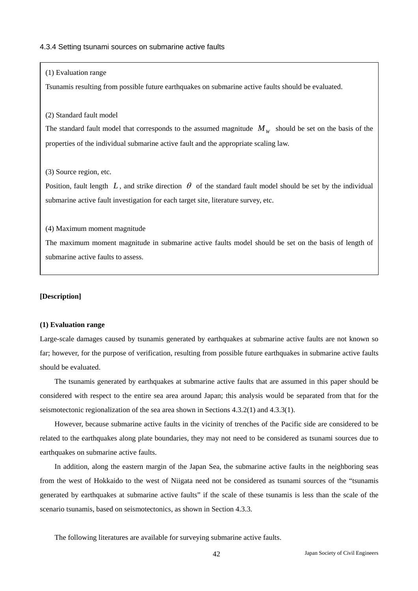#### 4.3.4 Setting tsunami sources on submarine active faults

#### (1) Evaluation range

Tsunamis resulting from possible future earthquakes on submarine active faults should be evaluated.

#### (2) Standard fault model

The standard fault model that corresponds to the assumed magnitude  $M<sub>w</sub>$  should be set on the basis of the properties of the individual submarine active fault and the appropriate scaling law.

#### (3) Source region, etc.

Position, fault length  $L$ , and strike direction  $\theta$  of the standard fault model should be set by the individual submarine active fault investigation for each target site, literature survey, etc.

#### (4) Maximum moment magnitude

The maximum moment magnitude in submarine active faults model should be set on the basis of length of submarine active faults to assess.

#### **[Description]**

#### **(1) Evaluation range**

Large-scale damages caused by tsunamis generated by earthquakes at submarine active faults are not known so far; however, for the purpose of verification, resulting from possible future earthquakes in submarine active faults should be evaluated.

The tsunamis generated by earthquakes at submarine active faults that are assumed in this paper should be considered with respect to the entire sea area around Japan; this analysis would be separated from that for the seismotectonic regionalization of the sea area shown in Sections 4.3.2(1) and 4.3.3(1).

However, because submarine active faults in the vicinity of trenches of the Pacific side are considered to be related to the earthquakes along plate boundaries, they may not need to be considered as tsunami sources due to earthquakes on submarine active faults.

In addition, along the eastern margin of the Japan Sea, the submarine active faults in the neighboring seas from the west of Hokkaido to the west of Niigata need not be considered as tsunami sources of the "tsunamis generated by earthquakes at submarine active faults" if the scale of these tsunamis is less than the scale of the scenario tsunamis, based on seismotectonics, as shown in Section 4.3.3.

The following literatures are available for surveying submarine active faults.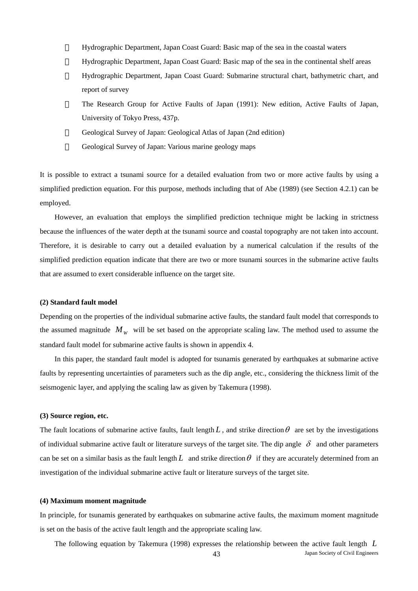Hydrographic Department, Japan Coast Guard: Basic map of the sea in the coastal waters ・ Hydrographic Department, Japan Coast Guard: Basic map of the sea in the continental shelf areas ・ Hydrographic Department, Japan Coast Guard: Submarine structural chart, bathymetric chart, and report of survey ・ The Research Group for Active Faults of Japan (1991): New edition, Active Faults of Japan, University of Tokyo Press, 437p. Geological Survey of Japan: Geological Atlas of Japan (2nd edition)

Geological Survey of Japan: Various marine geology maps

It is possible to extract a tsunami source for a detailed evaluation from two or more active faults by using a simplified prediction equation. For this purpose, methods including that of Abe (1989) (see Section 4.2.1) can be employed.

However, an evaluation that employs the simplified prediction technique might be lacking in strictness because the influences of the water depth at the tsunami source and coastal topography are not taken into account. Therefore, it is desirable to carry out a detailed evaluation by a numerical calculation if the results of the simplified prediction equation indicate that there are two or more tsunami sources in the submarine active faults that are assumed to exert considerable influence on the target site.

#### **(2) Standard fault model**

Depending on the properties of the individual submarine active faults, the standard fault model that corresponds to the assumed magnitude  $M<sub>w</sub>$  will be set based on the appropriate scaling law. The method used to assume the standard fault model for submarine active faults is shown in appendix 4.

In this paper, the standard fault model is adopted for tsunamis generated by earthquakes at submarine active faults by representing uncertainties of parameters such as the dip angle, etc., considering the thickness limit of the seismogenic layer, and applying the scaling law as given by Takemura (1998).

#### **(3) Source region, etc.**

The fault locations of submarine active faults, fault length  $L$ , and strike direction  $\theta$  are set by the investigations of individual submarine active fault or literature surveys of the target site. The dip angle  $\delta$  and other parameters can be set on a similar basis as the fault length L and strike direction  $\theta$  if they are accurately determined from an investigation of the individual submarine active fault or literature surveys of the target site.

#### **(4) Maximum moment magnitude**

In principle, for tsunamis generated by earthquakes on submarine active faults, the maximum moment magnitude is set on the basis of the active fault length and the appropriate scaling law.

43 Japan Society of Civil Engineers The following equation by Takemura (1998) expresses the relationship between the active fault length *L*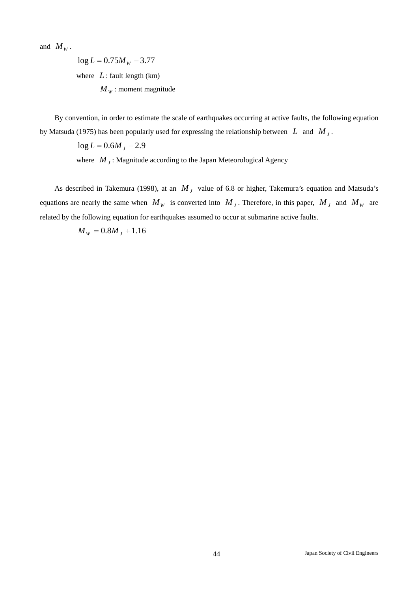and  $M_w$ .

 $\log L = 0.75 M_{\rm w} - 3.77$ where  $L$  : fault length (km)  $M<sub>w</sub>$ : moment magnitude

By convention, in order to estimate the scale of earthquakes occurring at active faults, the following equation by Matsuda (1975) has been popularly used for expressing the relationship between *L* and *M <sup>J</sup>* .

 $log L = 0.6M<sub>J</sub> - 2.9$ 

where  $M<sub>J</sub>$ : Magnitude according to the Japan Meteorological Agency

As described in Takemura (1998), at an  $M<sub>J</sub>$  value of 6.8 or higher, Takemura's equation and Matsuda's equations are nearly the same when  $M_W$  is converted into  $M_J$ . Therefore, in this paper,  $M_J$  and  $M_W$  are related by the following equation for earthquakes assumed to occur at submarine active faults.

 $M_w = 0.8M_t + 1.16$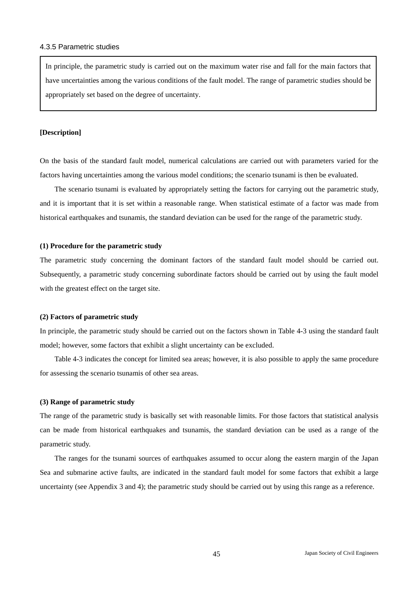#### 4.3.5 Parametric studies

In principle, the parametric study is carried out on the maximum water rise and fall for the main factors that have uncertainties among the various conditions of the fault model. The range of parametric studies should be appropriately set based on the degree of uncertainty.

#### **[Description]**

On the basis of the standard fault model, numerical calculations are carried out with parameters varied for the factors having uncertainties among the various model conditions; the scenario tsunami is then be evaluated.

The scenario tsunami is evaluated by appropriately setting the factors for carrying out the parametric study, and it is important that it is set within a reasonable range. When statistical estimate of a factor was made from historical earthquakes and tsunamis, the standard deviation can be used for the range of the parametric study.

#### **(1) Procedure for the parametric study**

The parametric study concerning the dominant factors of the standard fault model should be carried out. Subsequently, a parametric study concerning subordinate factors should be carried out by using the fault model with the greatest effect on the target site.

#### **(2) Factors of parametric study**

In principle, the parametric study should be carried out on the factors shown in Table 4-3 using the standard fault model; however, some factors that exhibit a slight uncertainty can be excluded.

Table 4-3 indicates the concept for limited sea areas; however, it is also possible to apply the same procedure for assessing the scenario tsunamis of other sea areas.

#### **(3) Range of parametric study**

The range of the parametric study is basically set with reasonable limits. For those factors that statistical analysis can be made from historical earthquakes and tsunamis, the standard deviation can be used as a range of the parametric study.

The ranges for the tsunami sources of earthquakes assumed to occur along the eastern margin of the Japan Sea and submarine active faults, are indicated in the standard fault model for some factors that exhibit a large uncertainty (see Appendix 3 and 4); the parametric study should be carried out by using this range as a reference.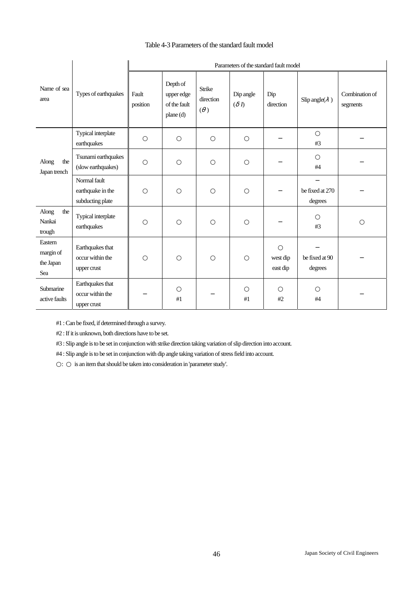## Table 4-3 Parameters of the standard fault model

|                                                                                                                                                  |                                                       |                   |                                                    |                            |                      | Parameters of the standard fault model |                            |                            |
|--------------------------------------------------------------------------------------------------------------------------------------------------|-------------------------------------------------------|-------------------|----------------------------------------------------|----------------------------|----------------------|----------------------------------------|----------------------------|----------------------------|
| Name of sea<br>area<br>Along<br>the<br>Japan trench<br>Along<br>the<br>Nankai<br>trough<br>Eastern<br>margin of<br>the Japan<br>Sea<br>Submarine | Types of earthquakes                                  | Fault<br>position | Depth of<br>upper edge<br>of the fault<br>plane(d) | Strike<br>direction<br>( ) | Dip angle<br>$($ $)$ | Dip<br>direction                       | Slip angle( )              | Combination of<br>segments |
|                                                                                                                                                  | Typical interplate<br>earthquakes                     |                   |                                                    |                            |                      |                                        | #3                         |                            |
|                                                                                                                                                  | Tsunami earthquakes<br>(slow earthquakes)             |                   |                                                    |                            |                      |                                        | #4                         |                            |
|                                                                                                                                                  | Normal fault<br>earthquake in the<br>subducting plate |                   |                                                    |                            |                      |                                        | be fixed at 270<br>degrees |                            |
|                                                                                                                                                  | Typical interplate<br>earthquakes                     |                   |                                                    |                            |                      |                                        | #3                         |                            |
|                                                                                                                                                  | Earthquakes that<br>occur within the<br>upper crust   |                   |                                                    |                            |                      | west dip<br>east dip                   | be fixed at 90<br>degrees  |                            |
| active faults                                                                                                                                    | Earthquakes that<br>occur within the<br>upper crust   |                   | #1                                                 |                            | #1                   | #2                                     | #4                         |                            |

#1 : Can be fixed, if determined through a survey.

#2 : If it is unknown, both directions have to be set.

#3 : Slip angle is to be set in conjunction with strike direction taking variation of slip direction into account.

#4 : Slip angle is to be set in conjunction with dip angle taking variation of stress field into account.

: is an item that should be taken into consideration in 'parameter study'.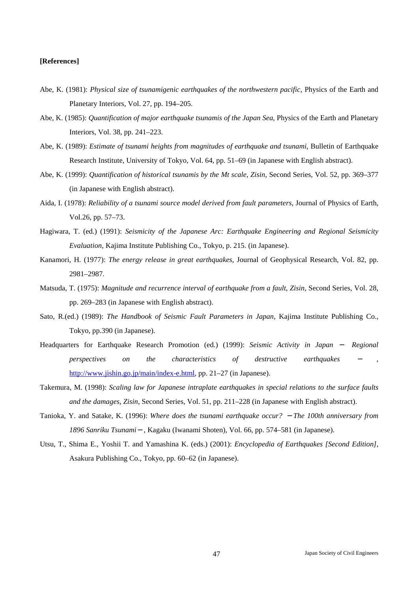## **[References]**

- Abe, K. (1981): *Physical size of tsunamigenic earthquakes of the northwestern pacific*, Physics of the Earth and Planetary Interiors, Vol. 27, pp. 194–205.
- Abe, K. (1985): *Quantification of major earthquake tsunamis of the Japan Sea*, Physics of the Earth and Planetary Interiors, Vol. 38, pp. 241–223.
- Abe, K. (1989): *Estimate of tsunami heights from magnitudes of earthquake and tsunami*, Bulletin of Earthquake Research Institute, University of Tokyo, Vol. 64, pp. 51–69 (in Japanese with English abstract).
- Abe, K. (1999): *Quantification of historical tsunamis by the Mt scale*, *Zisin*, Second Series, Vol. 52, pp. 369–377 (in Japanese with English abstract).
- Aida, I. (1978): *Reliability of a tsunami source model derived from fault parameters*, Journal of Physics of Earth, Vol.26, pp. 57–73.
- Hagiwara, T. (ed.) (1991): *Seismicity of the Japanese Arc: Earthquake Engineering and Regional Seismicity Evaluation*, Kajima Institute Publishing Co., Tokyo, p. 215. (in Japanese).
- Kanamori, H. (1977): *The energy release in great earthquakes*, Journal of Geophysical Research, Vol. 82, pp. 2981–2987.
- Matsuda, T. (1975): *Magnitude and recurrence interval of earthquake from a fault*, *Zisin*, Second Series, Vol. 28, pp. 269–283 (in Japanese with English abstract).
- Sato, R.(ed.) (1989): *The Handbook of Seismic Fault Parameters in Japan*, Kajima Institute Publishing Co., Tokyo, pp.390 (in Japanese).
- Headquarters for Earthquake Research Promotion (ed.) (1999): *Seismic Activity in Japan Regional perspectives* on the characteristics of destructive earthquakes http://www.jishin.go.jp/main/index-e.html, pp. 21–27 (in Japanese).
- Takemura, M. (1998): *Scaling law for Japanese intraplate earthquakes in special relations to the surface faults and the damages*, *Zisin*, Second Series, Vol. 51, pp. 211–228 (in Japanese with English abstract).
- Tanioka, Y. and Satake, K. (1996): *Where does the tsunami earthquake occur? The 100th anniversary from 1896 Sanriku Tsunami* , Kagaku (Iwanami Shoten), Vol. 66, pp. 574–581 (in Japanese).
- Utsu, T., Shima E., Yoshii T. and Yamashina K. (eds.) (2001): *Encyclopedia of Earthquakes [Second Edition]*, Asakura Publishing Co., Tokyo, pp. 60–62 (in Japanese).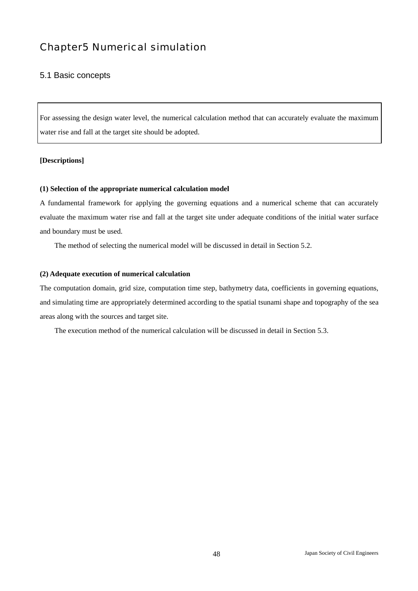# Chapter5 Numerical simulation

## 5.1 Basic concepts

For assessing the design water level, the numerical calculation method that can accurately evaluate the maximum water rise and fall at the target site should be adopted.

## **[Descriptions]**

## **(1) Selection of the appropriate numerical calculation model**

A fundamental framework for applying the governing equations and a numerical scheme that can accurately evaluate the maximum water rise and fall at the target site under adequate conditions of the initial water surface and boundary must be used.

The method of selecting the numerical model will be discussed in detail in Section 5.2.

## **(2) Adequate execution of numerical calculation**

The computation domain, grid size, computation time step, bathymetry data, coefficients in governing equations, and simulating time are appropriately determined according to the spatial tsunami shape and topography of the sea areas along with the sources and target site.

The execution method of the numerical calculation will be discussed in detail in Section 5.3.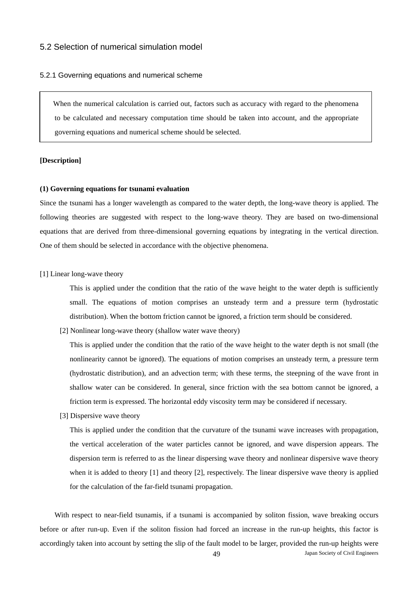## 5.2 Selection of numerical simulation model

#### 5.2.1 Governing equations and numerical scheme

When the numerical calculation is carried out, factors such as accuracy with regard to the phenomena to be calculated and necessary computation time should be taken into account, and the appropriate governing equations and numerical scheme should be selected.

#### **[Description]**

#### **(1) Governing equations for tsunami evaluation**

Since the tsunami has a longer wavelength as compared to the water depth, the long-wave theory is applied. The following theories are suggested with respect to the long-wave theory. They are based on two-dimensional equations that are derived from three-dimensional governing equations by integrating in the vertical direction. One of them should be selected in accordance with the objective phenomena.

#### [1] Linear long-wave theory

This is applied under the condition that the ratio of the wave height to the water depth is sufficiently small. The equations of motion comprises an unsteady term and a pressure term (hydrostatic distribution). When the bottom friction cannot be ignored, a friction term should be considered.

[2] Nonlinear long-wave theory (shallow water wave theory)

This is applied under the condition that the ratio of the wave height to the water depth is not small (the nonlinearity cannot be ignored). The equations of motion comprises an unsteady term, a pressure term (hydrostatic distribution), and an advection term; with these terms, the steepning of the wave front in shallow water can be considered. In general, since friction with the sea bottom cannot be ignored, a friction term is expressed. The horizontal eddy viscosity term may be considered if necessary.

[3] Dispersive wave theory

This is applied under the condition that the curvature of the tsunami wave increases with propagation, the vertical acceleration of the water particles cannot be ignored, and wave dispersion appears. The dispersion term is referred to as the linear dispersing wave theory and nonlinear dispersive wave theory when it is added to theory [1] and theory [2], respectively. The linear dispersive wave theory is applied for the calculation of the far-field tsunami propagation.

49 Japan Society of Civil Engineers With respect to near-field tsunamis, if a tsunami is accompanied by soliton fission, wave breaking occurs before or after run-up. Even if the soliton fission had forced an increase in the run-up heights, this factor is accordingly taken into account by setting the slip of the fault model to be larger, provided the run-up heights were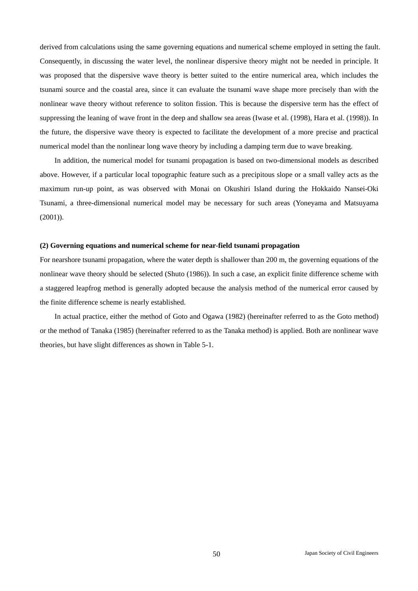derived from calculations using the same governing equations and numerical scheme employed in setting the fault. Consequently, in discussing the water level, the nonlinear dispersive theory might not be needed in principle. It was proposed that the dispersive wave theory is better suited to the entire numerical area, which includes the tsunami source and the coastal area, since it can evaluate the tsunami wave shape more precisely than with the nonlinear wave theory without reference to soliton fission. This is because the dispersive term has the effect of suppressing the leaning of wave front in the deep and shallow sea areas (Iwase et al. (1998), Hara et al. (1998)). In the future, the dispersive wave theory is expected to facilitate the development of a more precise and practical numerical model than the nonlinear long wave theory by including a damping term due to wave breaking.

In addition, the numerical model for tsunami propagation is based on two-dimensional models as described above. However, if a particular local topographic feature such as a precipitous slope or a small valley acts as the maximum run-up point, as was observed with Monai on Okushiri Island during the Hokkaido Nansei-Oki Tsunami, a three-dimensional numerical model may be necessary for such areas (Yoneyama and Matsuyama (2001)).

#### **(2) Governing equations and numerical scheme for near-field tsunami propagation**

For nearshore tsunami propagation, where the water depth is shallower than 200 m, the governing equations of the nonlinear wave theory should be selected (Shuto (1986)). In such a case, an explicit finite difference scheme with a staggered leapfrog method is generally adopted because the analysis method of the numerical error caused by the finite difference scheme is nearly established.

In actual practice, either the method of Goto and Ogawa (1982) (hereinafter referred to as the Goto method) or the method of Tanaka (1985) (hereinafter referred to as the Tanaka method) is applied. Both are nonlinear wave theories, but have slight differences as shown in Table 5-1.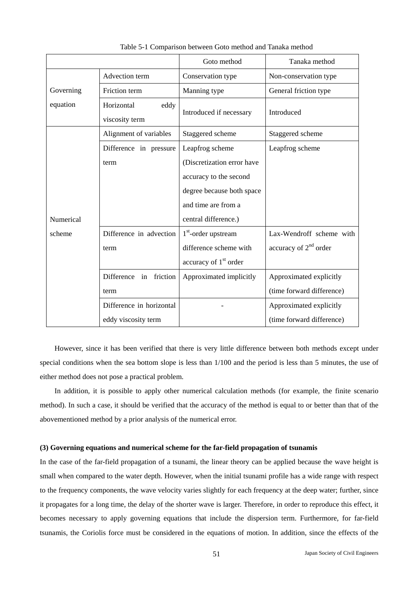|           |                           | Goto method                       | Tanaka method             |
|-----------|---------------------------|-----------------------------------|---------------------------|
|           | Advection term            | Conservation type                 | Non-conservation type     |
| Governing | Friction term             | Manning type                      | General friction type     |
| equation  | Horizontal<br>eddy        |                                   | Introduced                |
|           | viscosity term            | Introduced if necessary           |                           |
|           | Alignment of variables    | Staggered scheme                  | Staggered scheme          |
|           | Difference in pressure    | Leapfrog scheme                   | Leapfrog scheme           |
|           | term                      | (Discretization error have        |                           |
|           |                           | accuracy to the second            |                           |
|           |                           | degree because both space         |                           |
|           |                           | and time are from a               |                           |
| Numerical |                           | central difference.)              |                           |
| scheme    | Difference in advection   | $1st$ -order upstream             | Lax-Wendroff scheme with  |
|           | term                      | difference scheme with            | accuracy of $2nd$ order   |
|           |                           | accuracy of 1 <sup>st</sup> order |                           |
|           | Difference<br>in friction | Approximated implicitly           | Approximated explicitly   |
|           | term                      |                                   | (time forward difference) |
|           | Difference in horizontal  |                                   | Approximated explicitly   |
|           | eddy viscosity term       |                                   | (time forward difference) |

Table 5-1 Comparison between Goto method and Tanaka method

However, since it has been verified that there is very little difference between both methods except under special conditions when the sea bottom slope is less than 1/100 and the period is less than 5 minutes, the use of either method does not pose a practical problem.

In addition, it is possible to apply other numerical calculation methods (for example, the finite scenario method). In such a case, it should be verified that the accuracy of the method is equal to or better than that of the abovementioned method by a prior analysis of the numerical error.

#### **(3) Governing equations and numerical scheme for the far-field propagation of tsunamis**

In the case of the far-field propagation of a tsunami, the linear theory can be applied because the wave height is small when compared to the water depth. However, when the initial tsunami profile has a wide range with respect to the frequency components, the wave velocity varies slightly for each frequency at the deep water; further, since it propagates for a long time, the delay of the shorter wave is larger. Therefore, in order to reproduce this effect, it becomes necessary to apply governing equations that include the dispersion term. Furthermore, for far-field tsunamis, the Coriolis force must be considered in the equations of motion. In addition, since the effects of the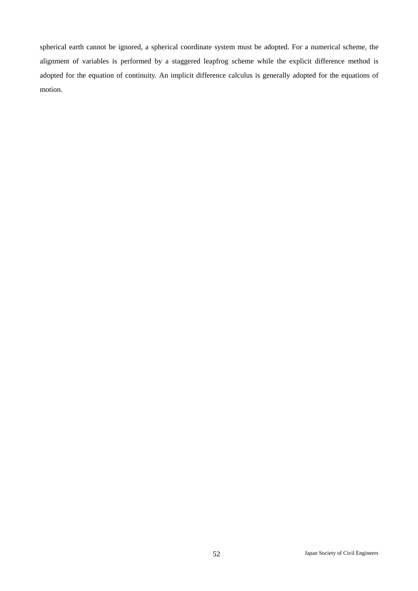spherical earth cannot be ignored, a spherical coordinate system must be adopted. For a numerical scheme, the alignment of variables is performed by a staggered leapfrog scheme while the explicit difference method is adopted for the equation of continuity. An implicit difference calculus is generally adopted for the equations of motion.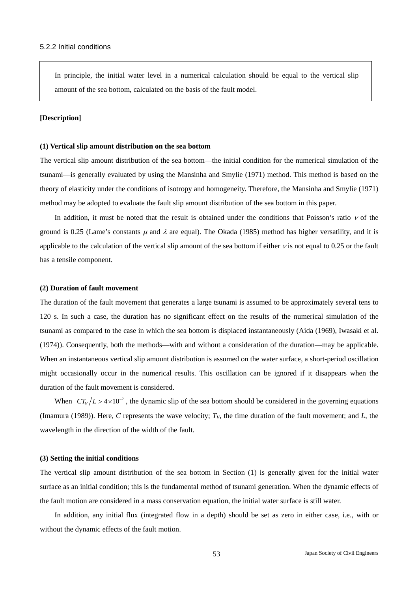In principle, the initial water level in a numerical calculation should be equal to the vertical slip amount of the sea bottom, calculated on the basis of the fault model.

#### **[Description]**

#### **(1) Vertical slip amount distribution on the sea bottom**

The vertical slip amount distribution of the sea bottom—the initial condition for the numerical simulation of the tsunami—is generally evaluated by using the Mansinha and Smylie (1971) method. This method is based on the theory of elasticity under the conditions of isotropy and homogeneity. Therefore, the Mansinha and Smylie (1971) method may be adopted to evaluate the fault slip amount distribution of the sea bottom in this paper.

In addition, it must be noted that the result is obtained under the conditions that Poisson's ratio  $\nu$  of the ground is 0.25 (Lame's constants  $\mu$  and  $\lambda$  are equal). The Okada (1985) method has higher versatility, and it is applicable to the calculation of the vertical slip amount of the sea bottom if either ν is not equal to 0.25 or the fault has a tensile component.

#### **(2) Duration of fault movement**

The duration of the fault movement that generates a large tsunami is assumed to be approximately several tens to 120 s. In such a case, the duration has no significant effect on the results of the numerical simulation of the tsunami as compared to the case in which the sea bottom is displaced instantaneously (Aida (1969), Iwasaki et al. (1974)). Consequently, both the methods—with and without a consideration of the duration—may be applicable. When an instantaneous vertical slip amount distribution is assumed on the water surface, a short-period oscillation might occasionally occur in the numerical results. This oscillation can be ignored if it disappears when the duration of the fault movement is considered.

When  $CT_v/L > 4 \times 10^{-2}$ , the dynamic slip of the sea bottom should be considered in the governing equations (Imamura (1989)). Here, C represents the wave velocity;  $T_V$ , the time duration of the fault movement; and L, the wavelength in the direction of the width of the fault.

#### **(3) Setting the initial conditions**

The vertical slip amount distribution of the sea bottom in Section (1) is generally given for the initial water surface as an initial condition; this is the fundamental method of tsunami generation. When the dynamic effects of the fault motion are considered in a mass conservation equation, the initial water surface is still water.

In addition, any initial flux (integrated flow in a depth) should be set as zero in either case, i.e., with or without the dynamic effects of the fault motion.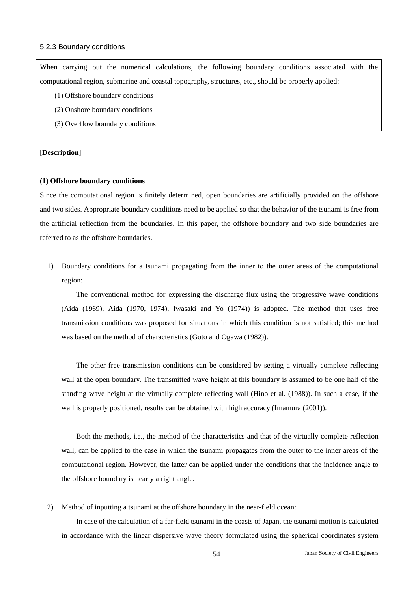#### 5.2.3 Boundary conditions

When carrying out the numerical calculations, the following boundary conditions associated with the computational region, submarine and coastal topography, structures, etc., should be properly applied:

- (1) Offshore boundary conditions
- (2) Onshore boundary conditions
- (3) Overflow boundary conditions

## **[Description]**

#### **(1) Offshore boundary conditions**

Since the computational region is finitely determined, open boundaries are artificially provided on the offshore and two sides. Appropriate boundary conditions need to be applied so that the behavior of the tsunami is free from the artificial reflection from the boundaries. In this paper, the offshore boundary and two side boundaries are referred to as the offshore boundaries.

1) Boundary conditions for a tsunami propagating from the inner to the outer areas of the computational region:

The conventional method for expressing the discharge flux using the progressive wave conditions (Aida (1969), Aida (1970, 1974), Iwasaki and Yo (1974)) is adopted. The method that uses free transmission conditions was proposed for situations in which this condition is not satisfied; this method was based on the method of characteristics (Goto and Ogawa (1982)).

The other free transmission conditions can be considered by setting a virtually complete reflecting wall at the open boundary. The transmitted wave height at this boundary is assumed to be one half of the standing wave height at the virtually complete reflecting wall (Hino et al. (1988)). In such a case, if the wall is properly positioned, results can be obtained with high accuracy (Imamura (2001)).

Both the methods, i.e., the method of the characteristics and that of the virtually complete reflection wall, can be applied to the case in which the tsunami propagates from the outer to the inner areas of the computational region. However, the latter can be applied under the conditions that the incidence angle to the offshore boundary is nearly a right angle.

2) Method of inputting a tsunami at the offshore boundary in the near-field ocean:

In case of the calculation of a far-field tsunami in the coasts of Japan, the tsunami motion is calculated in accordance with the linear dispersive wave theory formulated using the spherical coordinates system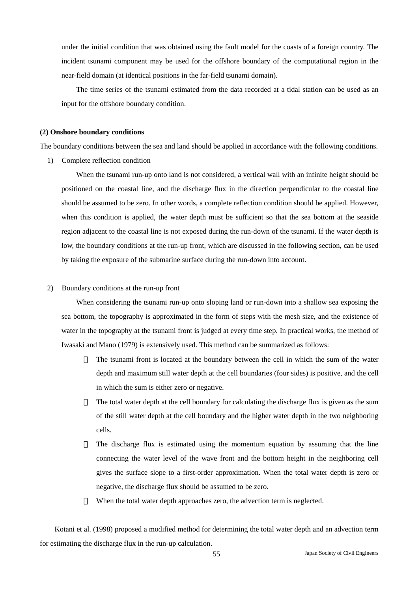under the initial condition that was obtained using the fault model for the coasts of a foreign country. The incident tsunami component may be used for the offshore boundary of the computational region in the near-field domain (at identical positions in the far-field tsunami domain).

The time series of the tsunami estimated from the data recorded at a tidal station can be used as an input for the offshore boundary condition.

#### **(2) Onshore boundary conditions**

The boundary conditions between the sea and land should be applied in accordance with the following conditions.

1) Complete reflection condition

When the tsunami run-up onto land is not considered, a vertical wall with an infinite height should be positioned on the coastal line, and the discharge flux in the direction perpendicular to the coastal line should be assumed to be zero. In other words, a complete reflection condition should be applied. However, when this condition is applied, the water depth must be sufficient so that the sea bottom at the seaside region adjacent to the coastal line is not exposed during the run-down of the tsunami. If the water depth is low, the boundary conditions at the run-up front, which are discussed in the following section, can be used by taking the exposure of the submarine surface during the run-down into account.

2) Boundary conditions at the run-up front

When considering the tsunami run-up onto sloping land or run-down into a shallow sea exposing the sea bottom, the topography is approximated in the form of steps with the mesh size, and the existence of water in the topography at the tsunami front is judged at every time step. In practical works, the method of Iwasaki and Mano (1979) is extensively used. This method can be summarized as follows:

> The tsunami front is located at the boundary between the cell in which the sum of the water depth and maximum still water depth at the cell boundaries (four sides) is positive, and the cell in which the sum is either zero or negative.

> The total water depth at the cell boundary for calculating the discharge flux is given as the sum of the still water depth at the cell boundary and the higher water depth in the two neighboring cells.

> The discharge flux is estimated using the momentum equation by assuming that the line connecting the water level of the wave front and the bottom height in the neighboring cell gives the surface slope to a first-order approximation. When the total water depth is zero or negative, the discharge flux should be assumed to be zero.

When the total water depth approaches zero, the advection term is neglected.

Kotani et al. (1998) proposed a modified method for determining the total water depth and an advection term for estimating the discharge flux in the run-up calculation.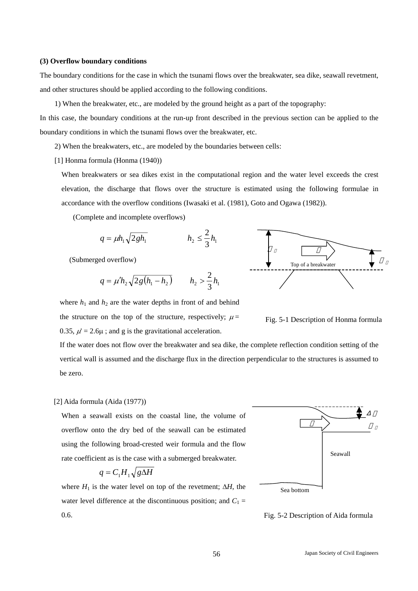#### **(3) Overflow boundary conditions**

The boundary conditions for the case in which the tsunami flows over the breakwater, sea dike, seawall revetment, and other structures should be applied according to the following conditions.

1) When the breakwater, etc., are modeled by the ground height as a part of the topography:

In this case, the boundary conditions at the run-up front described in the previous section can be applied to the boundary conditions in which the tsunami flows over the breakwater, etc.

2) When the breakwaters, etc., are modeled by the boundaries between cells:

[1] Honma formula (Honma (1940))

When breakwaters or sea dikes exist in the computational region and the water level exceeds the crest elevation, the discharge that flows over the structure is estimated using the following formulae in accordance with the overflow conditions (Iwasaki et al. (1981), Goto and Ogawa (1982)).

(Complete and incomplete overflows)

$$
q = \mu h_1 \sqrt{2gh_1} \qquad \qquad h_2 \leq \frac{2}{3} h_1
$$

(Submerged overflow)

$$
q = \mu' h_2 \sqrt{2g(h_1 - h_2)} \qquad h_2 > \frac{2}{3} h_1
$$

where  $h_1$  and  $h_2$  are the water depths in front of and behind



Fig. 5-1 Description of Honma formula

the structure on the top of the structure, respectively;  $\mu$  = 0.35,  $\mu$  = 2.6 $\mu$ ; and g is the gravitational acceleration.

If the water does not flow over the breakwater and sea dike, the complete reflection condition setting of the vertical wall is assumed and the discharge flux in the direction perpendicular to the structures is assumed to be zero.

#### [2] Aida formula (Aida (1977))

When a seawall exists on the coastal line, the volume of overflow onto the dry bed of the seawall can be estimated using the following broad-crested weir formula and the flow rate coefficient as is the case with a submerged breakwater.

$$
q = C_1 H_1 \sqrt{g\Delta H}
$$

where  $H_1$  is the water level on top of the revetment;  $\Delta H$ , the water level difference at the discontinuous position; and  $C_1$  = 0.6.



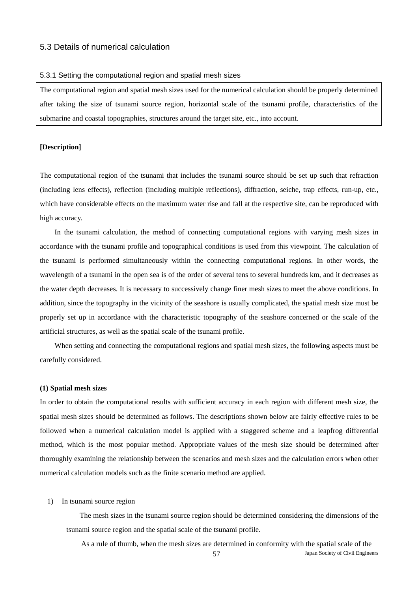## 5.3 Details of numerical calculation

#### 5.3.1 Setting the computational region and spatial mesh sizes

The computational region and spatial mesh sizes used for the numerical calculation should be properly determined after taking the size of tsunami source region, horizontal scale of the tsunami profile, characteristics of the submarine and coastal topographies, structures around the target site, etc., into account.

#### **[Description]**

The computational region of the tsunami that includes the tsunami source should be set up such that refraction (including lens effects), reflection (including multiple reflections), diffraction, seiche, trap effects, run-up, etc., which have considerable effects on the maximum water rise and fall at the respective site, can be reproduced with high accuracy.

In the tsunami calculation, the method of connecting computational regions with varying mesh sizes in accordance with the tsunami profile and topographical conditions is used from this viewpoint. The calculation of the tsunami is performed simultaneously within the connecting computational regions. In other words, the wavelength of a tsunami in the open sea is of the order of several tens to several hundreds km, and it decreases as the water depth decreases. It is necessary to successively change finer mesh sizes to meet the above conditions. In addition, since the topography in the vicinity of the seashore is usually complicated, the spatial mesh size must be properly set up in accordance with the characteristic topography of the seashore concerned or the scale of the artificial structures, as well as the spatial scale of the tsunami profile.

When setting and connecting the computational regions and spatial mesh sizes, the following aspects must be carefully considered.

#### **(1) Spatial mesh sizes**

In order to obtain the computational results with sufficient accuracy in each region with different mesh size, the spatial mesh sizes should be determined as follows. The descriptions shown below are fairly effective rules to be followed when a numerical calculation model is applied with a staggered scheme and a leapfrog differential method, which is the most popular method. Appropriate values of the mesh size should be determined after thoroughly examining the relationship between the scenarios and mesh sizes and the calculation errors when other numerical calculation models such as the finite scenario method are applied.

#### 1) In tsunami source region

The mesh sizes in the tsunami source region should be determined considering the dimensions of the tsunami source region and the spatial scale of the tsunami profile.

57 Japan Society of Civil Engineers As a rule of thumb, when the mesh sizes are determined in conformity with the spatial scale of the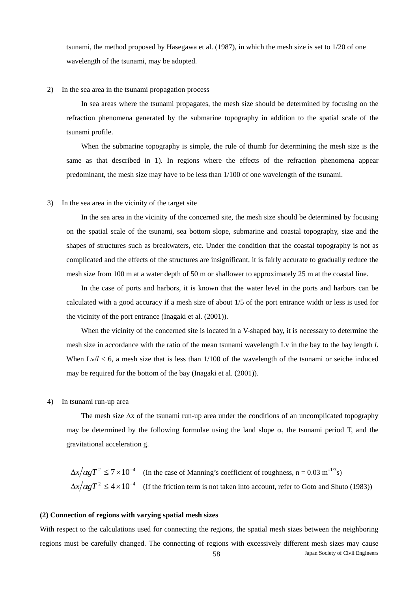tsunami, the method proposed by Hasegawa et al. (1987), in which the mesh size is set to 1/20 of one wavelength of the tsunami, may be adopted.

#### 2) In the sea area in the tsunami propagation process

In sea areas where the tsunami propagates, the mesh size should be determined by focusing on the refraction phenomena generated by the submarine topography in addition to the spatial scale of the tsunami profile.

When the submarine topography is simple, the rule of thumb for determining the mesh size is the same as that described in 1). In regions where the effects of the refraction phenomena appear predominant, the mesh size may have to be less than 1/100 of one wavelength of the tsunami.

#### 3) In the sea area in the vicinity of the target site

In the sea area in the vicinity of the concerned site, the mesh size should be determined by focusing on the spatial scale of the tsunami, sea bottom slope, submarine and coastal topography, size and the shapes of structures such as breakwaters, etc. Under the condition that the coastal topography is not as complicated and the effects of the structures are insignificant, it is fairly accurate to gradually reduce the mesh size from 100 m at a water depth of 50 m or shallower to approximately 25 m at the coastal line.

In the case of ports and harbors, it is known that the water level in the ports and harbors can be calculated with a good accuracy if a mesh size of about 1/5 of the port entrance width or less is used for the vicinity of the port entrance (Inagaki et al. (2001)).

When the vicinity of the concerned site is located in a V-shaped bay, it is necessary to determine the mesh size in accordance with the ratio of the mean tsunami wavelength Lv in the bay to the bay length *l*. When  $Lv/l < 6$ , a mesh size that is less than  $1/100$  of the wavelength of the tsunami or seiche induced may be required for the bottom of the bay (Inagaki et al. (2001)).

#### 4) In tsunami run-up area

The mesh size ∆x of the tsunami run-up area under the conditions of an uncomplicated topography may be determined by the following formulae using the land slope  $\alpha$ , the tsunami period T, and the gravitational acceleration g.

 $\Delta x / \alpha g T^2 \leq 7 \times 10^{-4}$  (In the case of Manning's coefficient of roughness, n = 0.03 m<sup>-1/3</sup>s)  $\Delta x / \alpha g T^2 \leq 4 \times 10^{-4}$  (If the friction term is not taken into account, refer to Goto and Shuto (1983))

#### **(2) Connection of regions with varying spatial mesh sizes**

58 Japan Society of Civil Engineers With respect to the calculations used for connecting the regions, the spatial mesh sizes between the neighboring regions must be carefully changed. The connecting of regions with excessively different mesh sizes may cause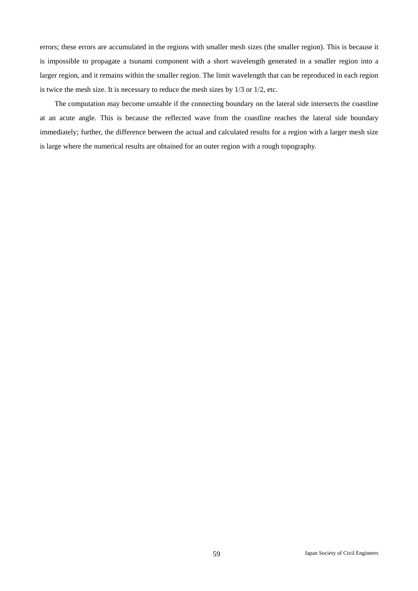errors; these errors are accumulated in the regions with smaller mesh sizes (the smaller region). This is because it is impossible to propagate a tsunami component with a short wavelength generated in a smaller region into a larger region, and it remains within the smaller region. The limit wavelength that can be reproduced in each region is twice the mesh size. It is necessary to reduce the mesh sizes by 1/3 or 1/2, etc.

The computation may become unstable if the connecting boundary on the lateral side intersects the coastline at an acute angle. This is because the reflected wave from the coastline reaches the lateral side boundary immediately; further, the difference between the actual and calculated results for a region with a larger mesh size is large where the numerical results are obtained for an outer region with a rough topography.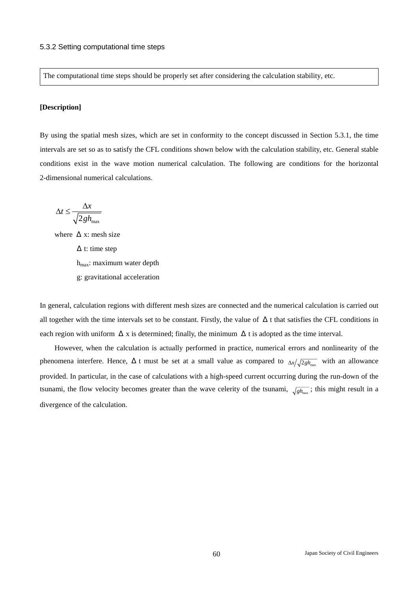The computational time steps should be properly set after considering the calculation stability, etc.

## **[Description]**

By using the spatial mesh sizes, which are set in conformity to the concept discussed in Section 5.3.1, the time intervals are set so as to satisfy the CFL conditions shown below with the calculation stability, etc. General stable conditions exist in the wave motion numerical calculation. The following are conditions for the horizontal 2-dimensional numerical calculations.

$$
\Delta t \le \frac{\Delta x}{\sqrt{2gh_{\text{max}}}}
$$

where  $x:$  mesh size t: time step  $h_{\text{max}}$ : maximum water depth g: gravitational acceleration

In general, calculation regions with different mesh sizes are connected and the numerical calculation is carried out all together with the time intervals set to be constant. Firstly, the value of t that satisfies the CFL conditions in each region with uniform x is determined; finally, the minimum t is adopted as the time interval.

However, when the calculation is actually performed in practice, numerical errors and nonlinearity of the phenomena interfere. Hence, t must be set at a small value as compared to  $\Delta x / \sqrt{2gh_{\text{max}}}$  with an allowance provided. In particular, in the case of calculations with a high-speed current occurring during the run-down of the tsunami, the flow velocity becomes greater than the wave celerity of the tsunami,  $\sqrt{gh_{\text{max}}}$ ; this might result in a divergence of the calculation.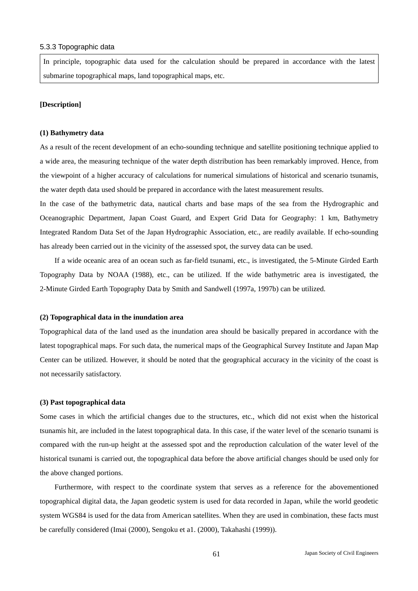#### 5.3.3 Topographic data

In principle, topographic data used for the calculation should be prepared in accordance with the latest submarine topographical maps, land topographical maps, etc.

#### **[Description]**

#### **(1) Bathymetry data**

As a result of the recent development of an echo-sounding technique and satellite positioning technique applied to a wide area, the measuring technique of the water depth distribution has been remarkably improved. Hence, from the viewpoint of a higher accuracy of calculations for numerical simulations of historical and scenario tsunamis, the water depth data used should be prepared in accordance with the latest measurement results.

In the case of the bathymetric data, nautical charts and base maps of the sea from the Hydrographic and Oceanographic Department, Japan Coast Guard, and Expert Grid Data for Geography: 1 km, Bathymetry Integrated Random Data Set of the Japan Hydrographic Association, etc., are readily available. If echo-sounding has already been carried out in the vicinity of the assessed spot, the survey data can be used.

If a wide oceanic area of an ocean such as far-field tsunami, etc., is investigated, the 5-Minute Girded Earth Topography Data by NOAA (1988), etc., can be utilized. If the wide bathymetric area is investigated, the 2-Minute Girded Earth Topography Data by Smith and Sandwell (1997a, 1997b) can be utilized.

#### **(2) Topographical data in the inundation area**

Topographical data of the land used as the inundation area should be basically prepared in accordance with the latest topographical maps. For such data, the numerical maps of the Geographical Survey Institute and Japan Map Center can be utilized. However, it should be noted that the geographical accuracy in the vicinity of the coast is not necessarily satisfactory.

#### **(3) Past topographical data**

Some cases in which the artificial changes due to the structures, etc., which did not exist when the historical tsunamis hit, are included in the latest topographical data. In this case, if the water level of the scenario tsunami is compared with the run-up height at the assessed spot and the reproduction calculation of the water level of the historical tsunami is carried out, the topographical data before the above artificial changes should be used only for the above changed portions.

Furthermore, with respect to the coordinate system that serves as a reference for the abovementioned topographical digital data, the Japan geodetic system is used for data recorded in Japan, while the world geodetic system WGS84 is used for the data from American satellites. When they are used in combination, these facts must be carefully considered (Imai (2000), Sengoku et a1. (2000), Takahashi (1999)).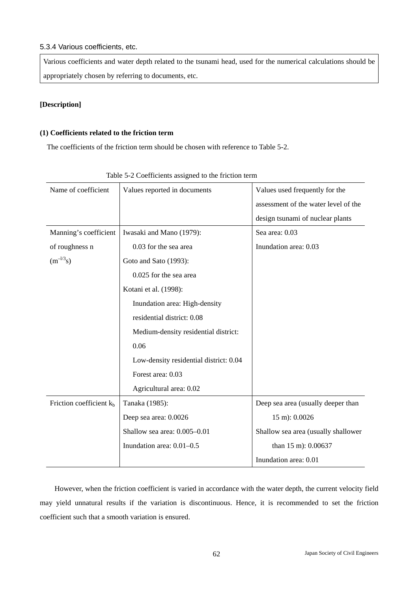## 5.3.4 Various coefficients, etc.

Various coefficients and water depth related to the tsunami head, used for the numerical calculations should be appropriately chosen by referring to documents, etc.

## **[Description]**

## **(1) Coefficients related to the friction term**

The coefficients of the friction term should be chosen with reference to Table 5-2.

| Name of coefficient        | Values reported in documents           | Values used frequently for the<br>assessment of the water level of the<br>design tsunami of nuclear plants |
|----------------------------|----------------------------------------|------------------------------------------------------------------------------------------------------------|
| Manning's coefficient      | Iwasaki and Mano (1979):               | Sea area: 0.03                                                                                             |
|                            | 0.03 for the sea area                  | Inundation area: 0.03                                                                                      |
| of roughness n             |                                        |                                                                                                            |
| $(m^{-1/3}s)$              | Goto and Sato (1993):                  |                                                                                                            |
|                            | 0.025 for the sea area                 |                                                                                                            |
|                            | Kotani et al. (1998):                  |                                                                                                            |
|                            | Inundation area: High-density          |                                                                                                            |
|                            | residential district: 0.08             |                                                                                                            |
|                            | Medium-density residential district:   |                                                                                                            |
|                            | 0.06                                   |                                                                                                            |
|                            | Low-density residential district: 0.04 |                                                                                                            |
|                            | Forest area: 0.03                      |                                                                                                            |
|                            | Agricultural area: 0.02                |                                                                                                            |
| Friction coefficient $k_b$ | Tanaka (1985):                         | Deep sea area (usually deeper than                                                                         |
|                            | Deep sea area: 0.0026                  | 15 m): 0.0026                                                                                              |
|                            | Shallow sea area: 0.005-0.01           | Shallow sea area (usually shallower                                                                        |
|                            | Inundation area: 0.01-0.5              | than 15 m): 0.00637                                                                                        |
|                            |                                        | Inundation area: 0.01                                                                                      |

| Table 5-2 Coefficients assigned to the friction term |  |  |
|------------------------------------------------------|--|--|
|                                                      |  |  |

However, when the friction coefficient is varied in accordance with the water depth, the current velocity field may yield unnatural results if the variation is discontinuous. Hence, it is recommended to set the friction coefficient such that a smooth variation is ensured.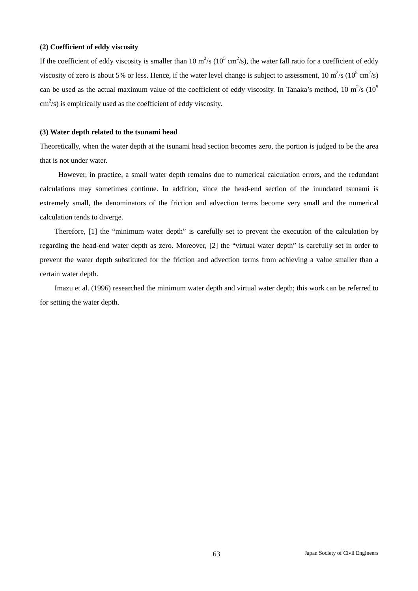#### **(2) Coefficient of eddy viscosity**

If the coefficient of eddy viscosity is smaller than  $10 \text{ m}^2/\text{s} (10^5 \text{ cm}^2/\text{s})$ , the water fall ratio for a coefficient of eddy viscosity of zero is about 5% or less. Hence, if the water level change is subject to assessment,  $10 \text{ m}^2/\text{s} (10^5 \text{ cm}^2/\text{s})$ can be used as the actual maximum value of the coefficient of eddy viscosity. In Tanaka's method, 10  $m^2/s$  (10<sup>5</sup>)  $\text{cm}^2$ /s) is empirically used as the coefficient of eddy viscosity.

#### **(3) Water depth related to the tsunami head**

Theoretically, when the water depth at the tsunami head section becomes zero, the portion is judged to be the area that is not under water.

 However, in practice, a small water depth remains due to numerical calculation errors, and the redundant calculations may sometimes continue. In addition, since the head-end section of the inundated tsunami is extremely small, the denominators of the friction and advection terms become very small and the numerical calculation tends to diverge.

Therefore, [1] the "minimum water depth" is carefully set to prevent the execution of the calculation by regarding the head-end water depth as zero. Moreover, [2] the "virtual water depth" is carefully set in order to prevent the water depth substituted for the friction and advection terms from achieving a value smaller than a certain water depth.

Imazu et al. (1996) researched the minimum water depth and virtual water depth; this work can be referred to for setting the water depth.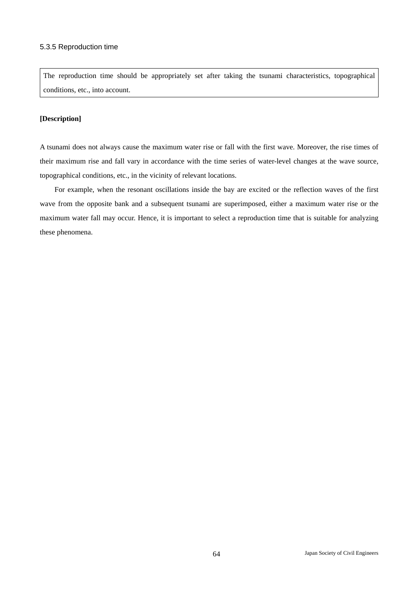The reproduction time should be appropriately set after taking the tsunami characteristics, topographical conditions, etc., into account.

## **[Description]**

A tsunami does not always cause the maximum water rise or fall with the first wave. Moreover, the rise times of their maximum rise and fall vary in accordance with the time series of water-level changes at the wave source, topographical conditions, etc., in the vicinity of relevant locations.

For example, when the resonant oscillations inside the bay are excited or the reflection waves of the first wave from the opposite bank and a subsequent tsunami are superimposed, either a maximum water rise or the maximum water fall may occur. Hence, it is important to select a reproduction time that is suitable for analyzing these phenomena.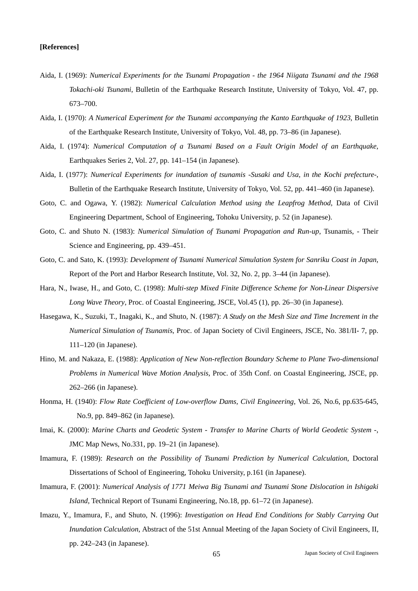- Aida, I. (1969): *Numerical Experiments for the Tsunami Propagation the 1964 Niigata Tsunami and the 1968 Tokachi-oki Tsunami*, Bulletin of the Earthquake Research Institute, University of Tokyo, Vol. 47, pp. 673–700.
- Aida, I. (1970): *A Numerical Experiment for the Tsunami accompanying the Kanto Earthquake of 1923*, Bulletin of the Earthquake Research Institute, University of Tokyo, Vol. 48, pp. 73–86 (in Japanese).
- Aida, I. (1974): *Numerical Computation of a Tsunami Based on a Fault Origin Model of an Earthquake*, Earthquakes Series 2, Vol. 27, pp. 141–154 (in Japanese).
- Aida, I. (1977): *Numerical Experiments for inundation of tsunamis -Susaki and Usa, in the Kochi prefecture-*, Bulletin of the Earthquake Research Institute, University of Tokyo, Vol. 52, pp. 441–460 (in Japanese).
- Goto, C. and Ogawa, Y. (1982): *Numerical Calculation Method using the Leapfrog Method*, Data of Civil Engineering Department, School of Engineering, Tohoku University, p. 52 (in Japanese).
- Goto, C. and Shuto N. (1983): *Numerical Simulation of Tsunami Propagation and Run-up*, Tsunamis, Their Science and Engineering, pp. 439–451.
- Goto, C. and Sato, K. (1993): *Development of Tsunami Numerical Simulation System for Sanriku Coast in Japan*, Report of the Port and Harbor Research Institute, Vol. 32, No. 2, pp. 3–44 (in Japanese).
- Hara, N., Iwase, H., and Goto, C. (1998): *Multi-step Mixed Finite Difference Scheme for Non-Linear Dispersive Long Wave Theory*, Proc. of Coastal Engineering, JSCE, Vol.45 (1), pp. 26–30 (in Japanese).
- Hasegawa, K., Suzuki, T., Inagaki, K., and Shuto, N. (1987): *A Study on the Mesh Size and Time Increment in the Numerical Simulation of Tsunamis*, Proc. of Japan Society of Civil Engineers, JSCE, No. 381/II- 7, pp. 111–120 (in Japanese).
- Hino, M. and Nakaza, E. (1988): *Application of New Non-reflection Boundary Scheme to Plane Two-dimensional Problems in Numerical Wave Motion Analysis*, Proc. of 35th Conf. on Coastal Engineering, JSCE, pp. 262–266 (in Japanese).
- Honma, H. (1940): *Flow Rate Coefficient of Low-overflow Dams, Civil Engineering*, Vol. 26, No.6, pp.635-645, No.9, pp. 849–862 (in Japanese).
- Imai, K. (2000): *Marine Charts and Geodetic System Transfer to Marine Charts of World Geodetic System -*, JMC Map News, No.331, pp. 19–21 (in Japanese).
- Imamura, F. (1989): *Research on the Possibility of Tsunami Prediction by Numerical Calculation*, Doctoral Dissertations of School of Engineering, Tohoku University, p.161 (in Japanese).
- Imamura, F. (2001): *Numerical Analysis of 1771 Meiwa Big Tsunami and Tsunami Stone Dislocation in Ishigaki Island*, Technical Report of Tsunami Engineering, No.18, pp. 61–72 (in Japanese).
- Imazu, Y., Imamura, F., and Shuto, N. (1996): *Investigation on Head End Conditions for Stably Carrying Out Inundation Calculation*, Abstract of the 51st Annual Meeting of the Japan Society of Civil Engineers, II, pp. 242–243 (in Japanese).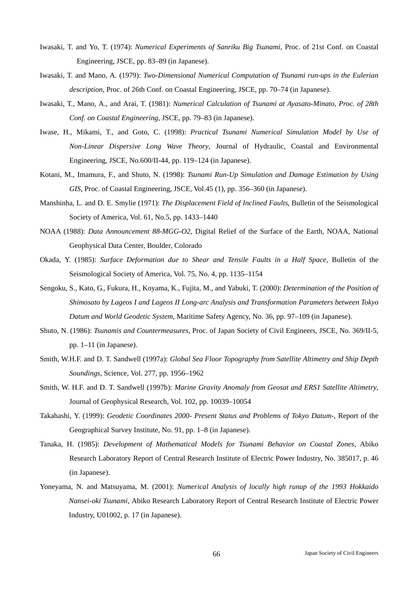- Iwasaki, T. and Yo, T. (1974): *Numerical Experiments of Sanriku Big Tsunami*, Proc. of 21st Conf. on Coastal Engineering, JSCE, pp. 83–89 (in Japanese).
- Iwasaki, T. and Mano, A. (1979): *Two-Dimensional Numerical Computation of Tsunami run-ups in the Eulerian description*, Proc. of 26th Conf. on Coastal Engineering, JSCE, pp. 70–74 (in Japanese).
- Iwasaki, T., Mano, A., and Arai, T. (1981): *Numerical Calculation of Tsunami at Ayasato-Minato, Proc. of 28th Conf. on Coastal Engineering*, JSCE, pp. 79–83 (in Japanese).
- Iwase, H., Mikami, T., and Goto, C. (1998): *Practical Tsunami Numerical Simulation Model by Use of Non-Linear Dispersive Long Wave Theory*, Journal of Hydraulic, Coastal and Environmental Engineering, JSCE, No.600/II-44, pp. 119–124 (in Japanese).
- Kotani, M., Imamura, F., and Shuto, N. (1998): *Tsunami Run-Up Simulation and Damage Estimation by Using GIS*, Proc. of Coastal Engineering, JSCE, Vol.45 (1), pp. 356–360 (in Japanese).
- Manshinha, L. and D. E. Smylie (1971): *The Displacement Field of Inclined Faults*, Bulletin of the Seismological Society of America, Vol. 61, No.5, pp. 1433–1440
- NOAA (1988): *Data Announcement 88-MGG-O2*, Digital Relief of the Surface of the Earth, NOAA, National Geophysical Data Center, Boulder, Colorado
- Okada, Y. (1985): *Surface Deformation due to Shear and Tensile Faults in a Half Space*, Bulletin of the Seismological Society of America, Vol. 75, No. 4, pp. 1135–1154
- Sengoku, S., Kato, G., Fukura, H., Koyama, K., Fujita, M., and Yabuki, T. (2000): *Determination of the Position of Shimosato by Lageos I and Lageos II Long-arc Analysis and Transformation Parameters between Tokyo Datum and World Geodetic System*, Maritime Safety Agency, No. 36, pp. 97–109 (in Japanese).
- Shuto, N. (1986): *Tsunamis and Countermeasures*, Proc. of Japan Society of Civil Engineers, JSCE, No. 369/II-5, pp. 1–11 (in Japanese).
- Smith, W.H.F. and D. T. Sandwell (1997a): *Global Sea Floor Topography from Satellite Altimetry and Ship Depth Soundings*, Science, Vol. 277, pp. 1956–1962
- Smith, W. H.F. and D. T. Sandwell (1997b): *Marine Gravity Anomaly from Geosat and ERS1 Satellite Altimetry*, Journal of Geophysical Research, Vol. 102, pp. 10039–10054
- Takahashi, Y. (1999): *Geodetic Coordinates 2000- Present Status and Problems of Tokyo Datum-*, Report of the Geographical Survey Institute, No. 91, pp. 1–8 (in Japanese).
- Tanaka, H. (1985): *Development of Mathematical Models for Tsunami Behavior on Coastal Zones*, Abiko Research Laboratory Report of Central Research Institute of Electric Power Industry, No. 385017, p. 46 (in Japanese).
- Yoneyama, N. and Matsuyama, M. (2001): *Numerical Analysis of locally high runup of the 1993 Hokkaido Nansei-oki Tsunami*, Abiko Research Laboratory Report of Central Research Institute of Electric Power Industry, U01002, p. 17 (in Japanese).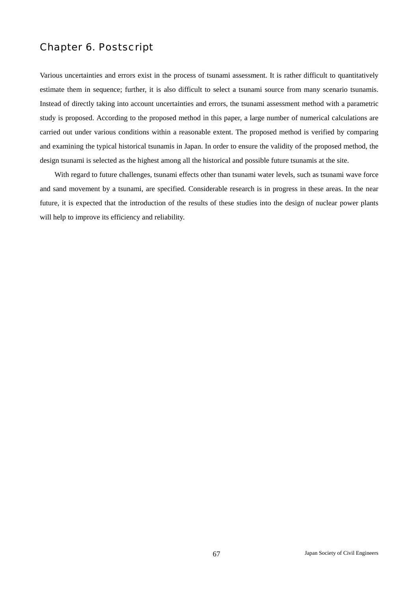# Chapter 6. Postscript

Various uncertainties and errors exist in the process of tsunami assessment. It is rather difficult to quantitatively estimate them in sequence; further, it is also difficult to select a tsunami source from many scenario tsunamis. Instead of directly taking into account uncertainties and errors, the tsunami assessment method with a parametric study is proposed. According to the proposed method in this paper, a large number of numerical calculations are carried out under various conditions within a reasonable extent. The proposed method is verified by comparing and examining the typical historical tsunamis in Japan. In order to ensure the validity of the proposed method, the design tsunami is selected as the highest among all the historical and possible future tsunamis at the site.

With regard to future challenges, tsunami effects other than tsunami water levels, such as tsunami wave force and sand movement by a tsunami, are specified. Considerable research is in progress in these areas. In the near future, it is expected that the introduction of the results of these studies into the design of nuclear power plants will help to improve its efficiency and reliability.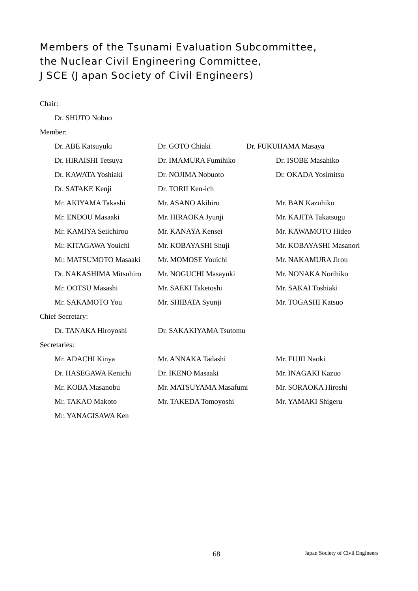# Members of the Tsunami Evaluation Subcommittee, the Nuclear Civil Engineering Committee, JSCE (Japan Society of Civil Engineers)

## Chair:

Dr. SHUTO Nobuo

## Member:

| Dr. ABE Katsuyuki       | Dr. GOTO Chiaki        | Dr. FUKUHAMA Masaya    |
|-------------------------|------------------------|------------------------|
| Dr. HIRAISHI Tetsuya    | Dr. IMAMURA Fumihiko   | Dr. ISOBE Masahiko     |
| Dr. KAWATA Yoshiaki     | Dr. NOJIMA Nobuoto     | Dr. OKADA Yosimitsu    |
| Dr. SATAKE Kenji        | Dr. TORII Ken-ich      |                        |
| Mr. AKIYAMA Takashi     | Mr. ASANO Akihiro      | Mr. BAN Kazuhiko       |
| Mr. ENDOU Masaaki       | Mr. HIRAOKA Jyunji     | Mr. KAJITA Takatsugu   |
| Mr. KAMIYA Seiichirou   | Mr. KANAYA Kensei      | Mr. KAWAMOTO Hideo     |
| Mr. KITAGAWA Youichi    | Mr. KOBAYASHI Shuji    | Mr. KOBAYASHI Masanori |
| Mr. MATSUMOTO Masaaki   | Mr. MOMOSE Youichi     | Mr. NAKAMURA Jirou     |
| Dr. NAKASHIMA Mitsuhiro | Mr. NOGUCHI Masayuki   | Mr. NONAKA Norihiko    |
| Mr. OOTSU Masashi       | Mr. SAEKI Taketoshi    | Mr. SAKAI Toshiaki     |
| Mr. SAKAMOTO You        | Mr. SHIBATA Syunji     | Mr. TOGASHI Katsuo     |
| <b>Chief Secretary:</b> |                        |                        |
| Dr. TANAKA Hiroyoshi    | Dr. SAKAKIYAMA Tsutomu |                        |
| Secretaries:            |                        |                        |
| Mr. ADACHI Kinya        | Mr. ANNAKA Tadashi     | Mr. FUJII Naoki        |
| Dr. HASEGAWA Kenichi    | Dr. IKENO Masaaki      | Mr. INAGAKI Kazuo      |
| Mr. KOBA Masanobu       | Mr. MATSUYAMA Masafumi | Mr. SORAOKA Hiroshi    |
| Mr. TAKAO Makoto        | Mr. TAKEDA Tomoyoshi   | Mr. YAMAKI Shigeru     |
| Mr. YANAGISAWA Ken      |                        |                        |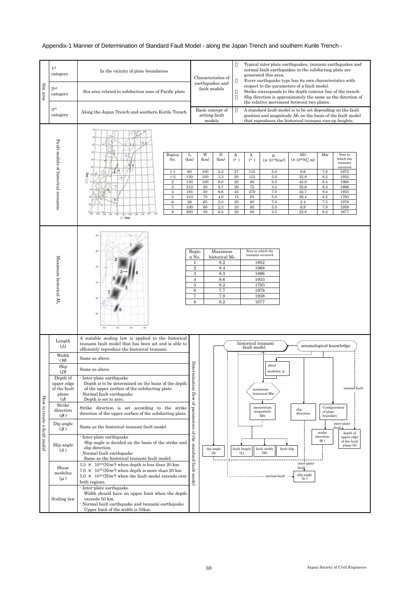# Appendix-1 Manner of Determination of Standard Fault Model - along the Japan Trench and southern Kurile Trench -

|                             | 1 <sup>st</sup><br>category                            | In the vicinity of plate boundaries                                                                                                                                                                                                                                                        |                                                                                                 |                                                                    | Characteristics of<br>earthquakes and                                                                    |                                                                   | Typical inter-plate earthquakes, tsunami earthquakes and<br>normal fault earthquakes in the subducting plate are<br>generated this area.<br>Every earthquake type has its own characteristics with |                                                                                                        |                                                                                                                                                         |                                                                   |                                                                                                                     |
|-----------------------------|--------------------------------------------------------|--------------------------------------------------------------------------------------------------------------------------------------------------------------------------------------------------------------------------------------------------------------------------------------------|-------------------------------------------------------------------------------------------------|--------------------------------------------------------------------|----------------------------------------------------------------------------------------------------------|-------------------------------------------------------------------|----------------------------------------------------------------------------------------------------------------------------------------------------------------------------------------------------|--------------------------------------------------------------------------------------------------------|---------------------------------------------------------------------------------------------------------------------------------------------------------|-------------------------------------------------------------------|---------------------------------------------------------------------------------------------------------------------|
| Sea area                    | 2 <sub>nd</sub><br>category                            | Sea area related to subduction zone of Pacific plate                                                                                                                                                                                                                                       |                                                                                                 | fault models                                                       |                                                                                                          |                                                                   |                                                                                                                                                                                                    |                                                                                                        | respect to the parameters of a fault model.<br>Strike corresponds to the depth contour line of the trench.<br>the relative movement between two plates. |                                                                   | Slip direction is approximately the same as the direction of                                                        |
|                             | 3rd<br>category                                        | Along the Japan Trench and southern Kurile Trench                                                                                                                                                                                                                                          |                                                                                                 | Basic concept of<br>setting fault<br>models                        |                                                                                                          |                                                                   |                                                                                                                                                                                                    |                                                                                                        | A standard fault model is to be set depending on the fault<br>that reproduces the historical tsunami run-up heights.                                    |                                                                   | position and magnitude $M_w$ on the basis of the fault model                                                        |
|                             | Fault models of historical tsunamis                    | $1 - 1$<br>$1 - 2$<br>Region<br>2 <sub>1</sub><br>No.<br>3 4<br>6<br>$1 - 1$<br>Gąp<br>78.<br>$1-2$<br>$5\overline{)}$<br>$\overline{2}$<br>3<br>$\overline{4}$<br>5<br>8<br>$6\phantom{1}6$<br>$\overline{7}$<br>8<br>147 145<br>145 146<br>748<br>141.<br>142<br>$142 - 144$<br>$(\deg)$ | L<br>(km)<br>60<br>130<br>150<br>210<br>185<br>210<br>26<br>100<br>200                          | W<br>(km)<br>100<br>100<br>100<br>50<br>50<br>70<br>65<br>60<br>50 | D<br>(km)<br>2.2<br>3.5<br>6.0<br>9.7<br>6.6<br>4.0<br>2.0<br>2.3<br>6.5                                 | (°)<br>27<br>20<br>20<br>$20\,$<br>45<br>15<br>$20\,$<br>10<br>20 | (°)<br>115<br>115<br>80<br>$\overline{75}$<br>270<br>85<br>85<br>85<br>95                                                                                                                          | $\mu$<br>$(x 10^{10}N/m^2)$<br>$5.0\,$<br>$5.0\,$<br>5.0<br>3.5<br>7.0<br>5.0<br>7.0<br>5.0<br>$3.5\,$ | M <sub>0</sub><br>$(x 10^{20}N m)$<br>6.6<br>22.8<br>45.0<br>35.6<br>42.7<br>29.4<br>2.4<br>$6.9\,$<br>22.8                                             | Mw<br>7.8<br>8.2<br>8.4<br>8.3<br>8.4<br>8.2<br>7.5<br>7.8<br>8.2 | Year in<br>which the<br>tsunami<br>occurred<br>1973<br>1952<br>1968<br>1896<br>1933<br>1793<br>1978<br>1938<br>1677 |
|                             | Maximum<br>ᠴ<br>storical $M_{\rm w}$                   | 34<br>182<br>118<br>1.100                                                                                                                                                                                                                                                                  | Regio<br>n No.<br>$\,2$<br>$\,3$<br>$\overline{4}$<br>$\overline{5}$<br>$\,6\,$<br>$\bf 7$<br>8 |                                                                    | Maximum<br>historical M <sub>w</sub><br>8.2<br>8.4<br>8.3<br>8.6<br>$\!\!\!\!\!8.2$<br>7.7<br>7.9<br>8.2 |                                                                   | tsunami occurred<br>1952<br>1968<br>1896<br>1933<br>1793<br>1978<br>1938<br>1677                                                                                                                   | Year in which the                                                                                      |                                                                                                                                                         |                                                                   |                                                                                                                     |
|                             | Length<br>(L)<br>Width                                 | A suitable scaling law is applied to the historical<br>tsunami fault model that has been set and is able to<br>efficiently reproduce the historical tsunami.                                                                                                                               |                                                                                                 |                                                                    |                                                                                                          |                                                                   | historical tsunami<br>fault model                                                                                                                                                                  |                                                                                                        |                                                                                                                                                         |                                                                   | seismological knowledge                                                                                             |
|                             | (W)                                                    | Same as above.                                                                                                                                                                                                                                                                             |                                                                                                 |                                                                    |                                                                                                          |                                                                   |                                                                                                                                                                                                    | shear                                                                                                  |                                                                                                                                                         |                                                                   |                                                                                                                     |
|                             | Slip<br>(D)                                            | Same as above.                                                                                                                                                                                                                                                                             |                                                                                                 |                                                                    |                                                                                                          |                                                                   |                                                                                                                                                                                                    | modulus $\mu$                                                                                          |                                                                                                                                                         |                                                                   |                                                                                                                     |
|                             | Depth of<br>upper edge<br>of the fault<br>plane<br>(d) | - Inter-plate earthquake<br>Depth is to be determined on the basis of the depth<br>of the upper surface of the subducting plate.<br>- Normal fault earthquake<br>Depth is set to zero.                                                                                                     | Determination<br>$H_{\rm{OW}}$                                                                  |                                                                    |                                                                                                          |                                                                   |                                                                                                                                                                                                    | maximum<br>historical Mw                                                                               |                                                                                                                                                         |                                                                   | normal fault                                                                                                        |
|                             | Strike<br>direction<br>$\rightarrow$                   | Strike direction is set according to the strike<br>direction of the upper surface of the subducting plate.                                                                                                                                                                                 | F                                                                                               |                                                                    |                                                                                                          |                                                                   |                                                                                                                                                                                                    | momentum<br>magnitude<br>Mw                                                                            | slip<br>direction                                                                                                                                       | of plate<br>boundary                                              | Configuration                                                                                                       |
|                             | Dip angle<br>$($ )                                     | Same as the historical tsunami fault model                                                                                                                                                                                                                                                 | parameters<br>$\mathbf{G}$                                                                      |                                                                    |                                                                                                          |                                                                   |                                                                                                                                                                                                    |                                                                                                        |                                                                                                                                                         | strike                                                            | inter-plate<br>fault.<br>depth of                                                                                   |
| How to create a fault model | Slip angle<br>(                                        | - Inter-plate earthquake<br>Slip angle is decided on the basis of the strike and<br>slip direction.<br>- Normal fault earthquake<br>Same as the historical tsunami fault model.                                                                                                            | the<br><br>standard                                                                             |                                                                    | dip angle<br>$\left( \delta \right)$                                                                     |                                                                   | fault length<br>(L)                                                                                                                                                                                | fault width<br>fault slip<br>(W)                                                                       |                                                                                                                                                         | direction<br>$\left( \quad \right)$                               | upper edge<br>of the fault<br>plane (d)                                                                             |
|                             | Shear<br>modulus<br>$(\mu)$                            | $3.5 \times 10^{10}$ (N/m <sup>2</sup> ) when depth is less than 20 km<br>$7.0 \times 10^{10}$ (N/m <sup>2</sup> ) when depth is more than 20 km<br>$5.0 \times 10^{10}$ (N/m <sup>2</sup> ) when the fault model extends over<br>both regions.                                            | fault model                                                                                     |                                                                    |                                                                                                          |                                                                   |                                                                                                                                                                                                    | --- normal fault --                                                                                    | inter-plate<br>fault<br>slip angle<br>( )                                                                                                               |                                                                   |                                                                                                                     |

| pa | Slip angle                  | slip direction.<br>- Normal fault earthquake<br>Same as the historical tsunami fault model.                                                                                                                                                     | eta     | dip angle<br>(8) | fault length<br>Œ | fault width   <br>(W) | fault slip        |                                    | plane (d) |
|----|-----------------------------|-------------------------------------------------------------------------------------------------------------------------------------------------------------------------------------------------------------------------------------------------|---------|------------------|-------------------|-----------------------|-------------------|------------------------------------|-----------|
|    | Shear<br>modulus<br>$(\mu)$ | $3.5 \times 10^{10}$ (N/m <sup>2</sup> ) when depth is less than 20 km<br>$7.0 \times 10^{10}$ (N/m <sup>2</sup> ) when depth is more than 20 km<br>$5.0 \times 10^{10}$ (N/m <sup>2</sup> ) when the fault model extends over<br>both regions. | £ā<br>Ĕ |                  |                   |                       | normal fault $--$ | inter-plate<br>fault<br>slip angle |           |
|    | Scaling law                 | - Inter-plate earthquake<br>Width should have an upper limit when the depth<br>exceeds 50 km.<br>- Normal fault earthquake and tsunami earthquake<br>Upper limit of the width is 50km.                                                          |         |                  |                   |                       |                   |                                    |           |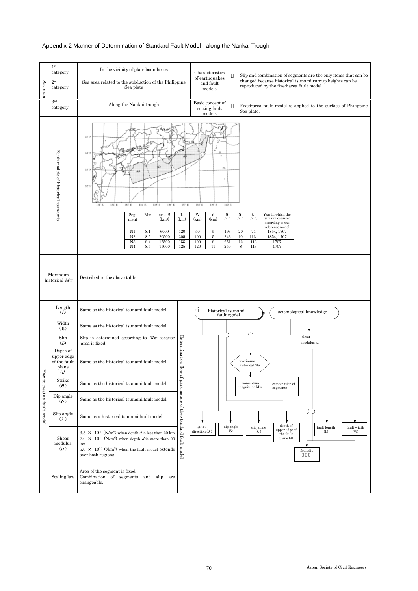## Appendix-2 Manner of Determination of Standard Fault Model - along the Nankai Trough -



| $(\mu)$     | $5.0 \times 10^{10}$ (N/m <sup>2</sup> ) when the fault model extends $\frac{1}{2}$<br>over both regions. | faultslip |  |
|-------------|-----------------------------------------------------------------------------------------------------------|-----------|--|
| Scaling law | Area of the segment is fixed.<br>Combination of segments and slip<br>are<br>changeable.                   |           |  |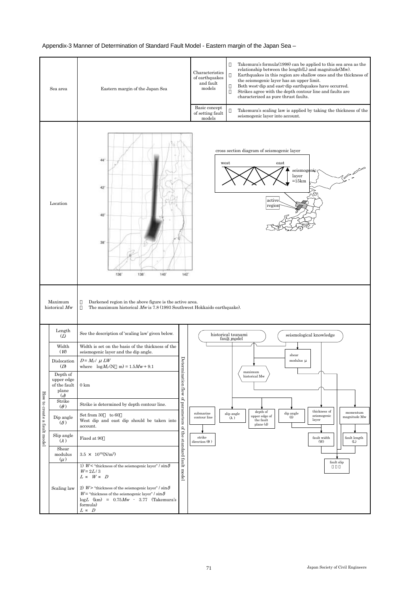## Appendix-3 Manner of Determination of Standard Fault Model - Eastern margin of the Japan Sea –



| Shear<br>modulus<br>$(\mu)$ | $3.5 \times 10^{10} (N/m^2)$                                                                                                                                               | prapi<br>£a | fault slip |  |
|-----------------------------|----------------------------------------------------------------------------------------------------------------------------------------------------------------------------|-------------|------------|--|
|                             | 1) $Wo$ thickness of the seismogenic layer" / sin<br>$W = 2L/3$<br>W<br>D<br>L                                                                                             | μŗ<br>model |            |  |
| Scaling law                 | 2) $W$ > "thickness of the seismogenic layer" / sin<br>$W =$ "thickness of the seismogenic layer" / sin<br>$logL$ (km) = $0.75Mw - 3.77$ (Takemura's<br>formula)<br>D<br>L |             |            |  |